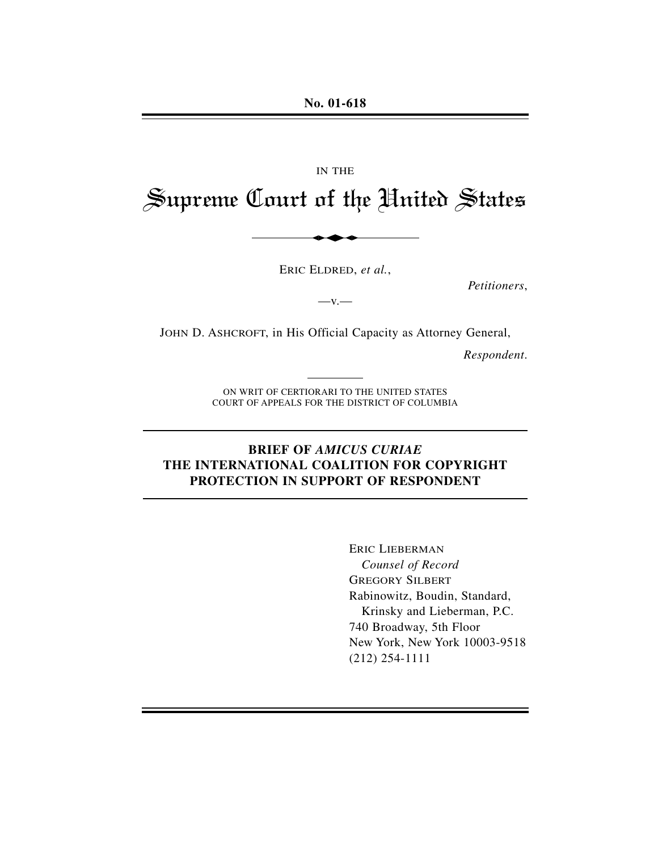**No. 01-618**

# IN THE Supreme Court of the United States

ERIC ELDRED, *et al.*,

*Petitioners*,

JOHN D. ASHCROFT, in His Official Capacity as Attorney General,

 $-\mathbf{v}$ .

*Respondent*.

ON WRIT OF CERTIORARI TO THE UNITED STATES COURT OF APPEALS FOR THE DISTRICT OF COLUMBIA

## **BRIEF OF** *AMICUS CURIAE* **THE INTERNATIONAL COALITION FOR COPYRIGHT PROTECTION IN SUPPORT OF RESPONDENT**

ERIC LIEBERMAN *Counsel of Record* GREGORY SILBERT Rabinowitz, Boudin, Standard, Krinsky and Lieberman, P.C. 740 Broadway, 5th Floor New York, New York 10003-9518 (212) 254-1111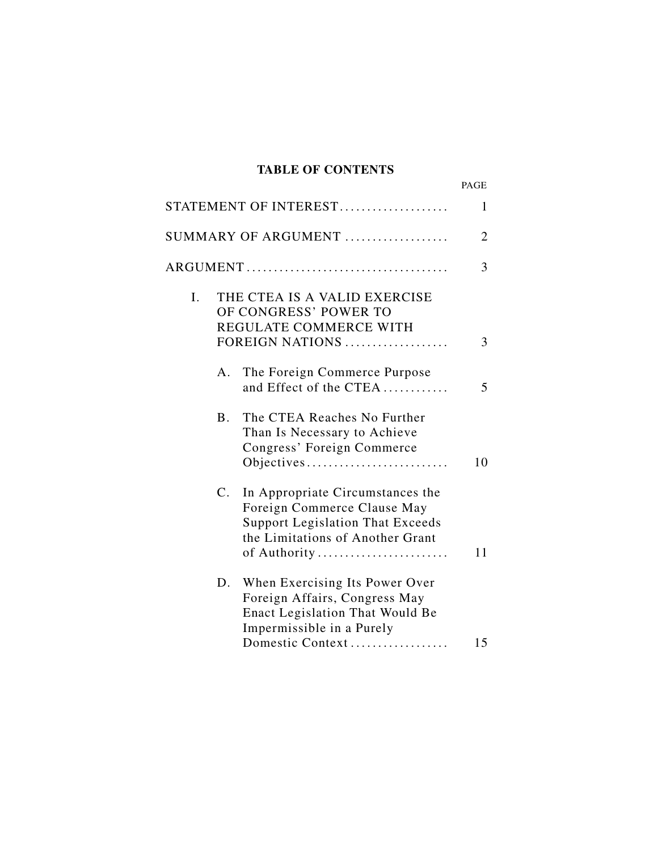# **TABLE OF CONTENTS**

|    |             |                                                                                                                                                                | PAGE           |
|----|-------------|----------------------------------------------------------------------------------------------------------------------------------------------------------------|----------------|
|    |             | STATEMENT OF INTEREST                                                                                                                                          | $\mathbf{1}$   |
|    |             | SUMMARY OF ARGUMENT                                                                                                                                            | $\overline{2}$ |
|    |             |                                                                                                                                                                | 3              |
| I. |             | THE CTEA IS A VALID EXERCISE<br>OF CONGRESS' POWER TO<br>REGULATE COMMERCE WITH<br>FOREIGN NATIONS                                                             | 3              |
|    | A.          | The Foreign Commerce Purpose<br>and Effect of the CTEA                                                                                                         | 5              |
|    | <b>B</b> .  | The CTEA Reaches No Further<br>Than Is Necessary to Achieve<br>Congress' Foreign Commerce<br>Objectives                                                        | 10             |
|    | $C_{\cdot}$ | In Appropriate Circumstances the<br>Foreign Commerce Clause May<br><b>Support Legislation That Exceeds</b><br>the Limitations of Another Grant<br>of Authority | 11             |
|    | D.          | When Exercising Its Power Over<br>Foreign Affairs, Congress May<br>Enact Legislation That Would Be<br>Impermissible in a Purely<br>Domestic Context            | 15             |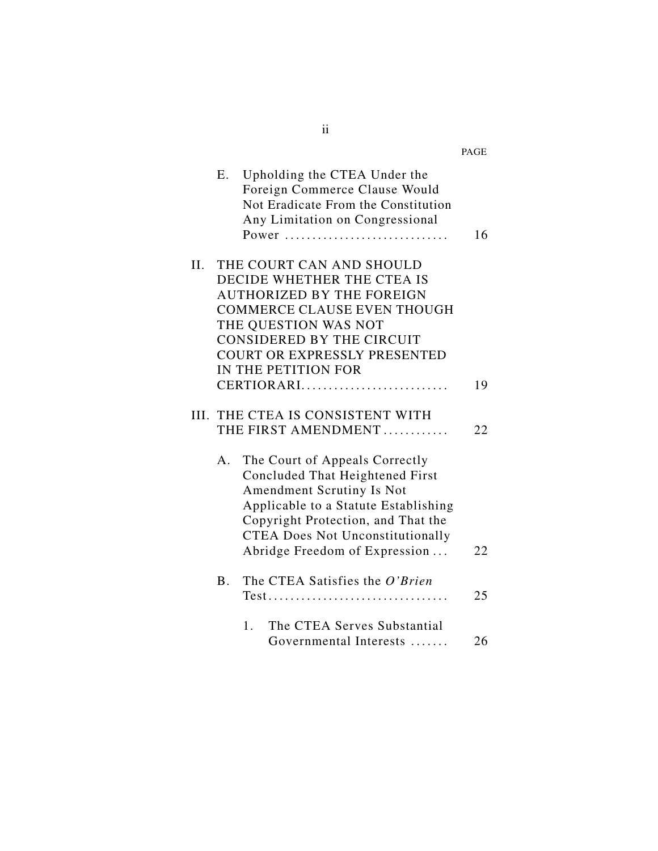|    |           |                                                                                                                                                                                                                                                          | PAGE |
|----|-----------|----------------------------------------------------------------------------------------------------------------------------------------------------------------------------------------------------------------------------------------------------------|------|
|    | E.        | Upholding the CTEA Under the<br>Foreign Commerce Clause Would<br>Not Eradicate From the Constitution<br>Any Limitation on Congressional<br>Power                                                                                                         | 16   |
| Н. |           | THE COURT CAN AND SHOULD<br>DECIDE WHETHER THE CTEA IS<br><b>AUTHORIZED BY THE FOREIGN</b><br><b>COMMERCE CLAUSE EVEN THOUGH</b><br>THE QUESTION WAS NOT<br>CONSIDERED BY THE CIRCUIT<br>COURT OR EXPRESSLY PRESENTED<br>IN THE PETITION FOR             |      |
|    |           | CERTIORARI                                                                                                                                                                                                                                               | 19   |
|    |           | III. THE CTEA IS CONSISTENT WITH<br>THE FIRST AMENDMENT                                                                                                                                                                                                  | 22   |
|    | A.        | The Court of Appeals Correctly<br>Concluded That Heightened First<br>Amendment Scrutiny Is Not<br>Applicable to a Statute Establishing<br>Copyright Protection, and That the<br><b>CTEA Does Not Unconstitutionally</b><br>Abridge Freedom of Expression | 22   |
|    | <b>B.</b> | The CTEA Satisfies the O'Brien<br>$Test$                                                                                                                                                                                                                 | 25   |
|    |           | The CTEA Serves Substantial<br>1.<br>Governmental Interests                                                                                                                                                                                              | 26   |

ii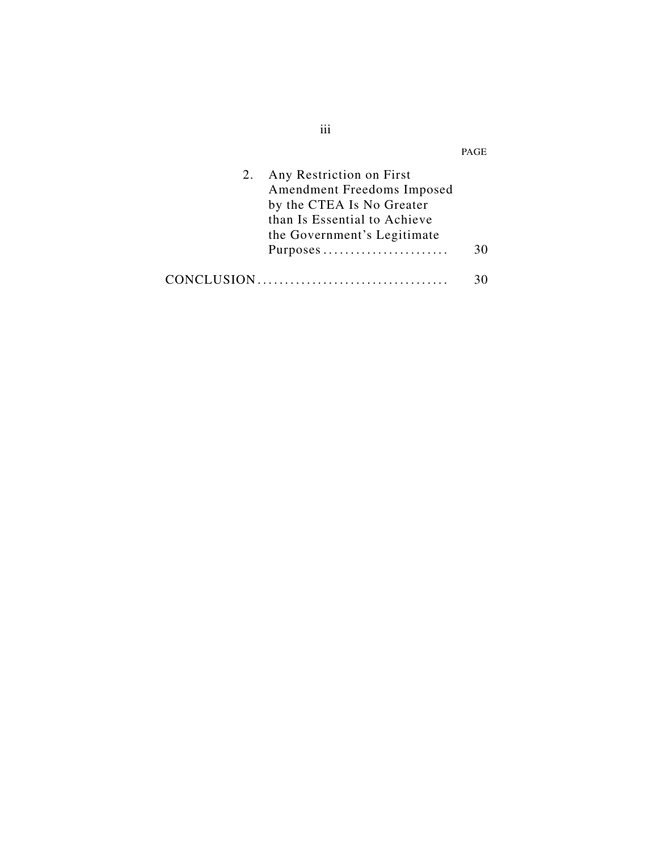| 2. | Any Restriction on First<br>Amendment Freedoms Imposed<br>by the CTEA Is No Greater<br>than Is Essential to Achieve<br>the Government's Legitimate<br>Purposes | 30 |
|----|----------------------------------------------------------------------------------------------------------------------------------------------------------------|----|
|    |                                                                                                                                                                |    |

iii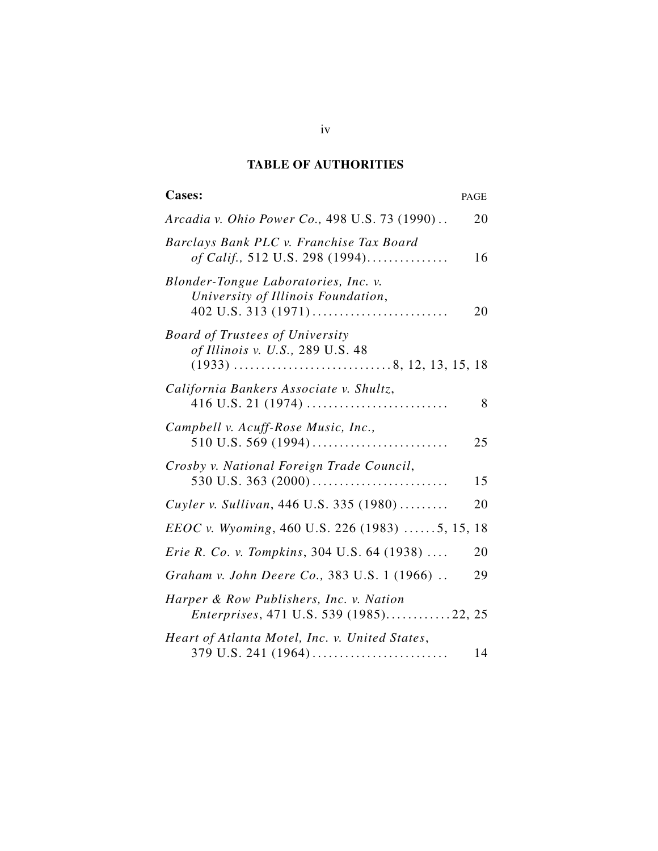# **TABLE OF AUTHORITIES**

| <b>Cases:</b><br>PAGE                                                             |
|-----------------------------------------------------------------------------------|
| <i>Arcadia v. Ohio Power Co., 498 U.S. 73 (1990)</i><br>20                        |
| Barclays Bank PLC v. Franchise Tax Board<br>of Calif., 512 U.S. 298 (1994)<br>16  |
| Blonder-Tongue Laboratories, Inc. v.<br>University of Illinois Foundation,<br>20  |
| <b>Board of Trustees of University</b><br>of Illinois v. U.S., 289 U.S. 48        |
| California Bankers Associate v. Shultz,<br>8                                      |
| Campbell v. Acuff-Rose Music, Inc.,<br>25                                         |
| Crosby v. National Foreign Trade Council,<br>15                                   |
| Cuyler v. Sullivan, 446 U.S. 335 (1980)<br>20                                     |
| <i>EEOC v. Wyoming</i> , 460 U.S. 226 (1983) 5, 15,<br>18                         |
| <i>Erie R. Co. v. Tompkins</i> , 304 U.S. 64 (1938)<br>20                         |
| Graham v. John Deere Co., 383 U.S. 1 (1966)<br>29                                 |
| Harper & Row Publishers, Inc. v. Nation<br>Enterprises, 471 U.S. 539 (1985)22, 25 |
| Heart of Atlanta Motel, Inc. v. United States,<br>14                              |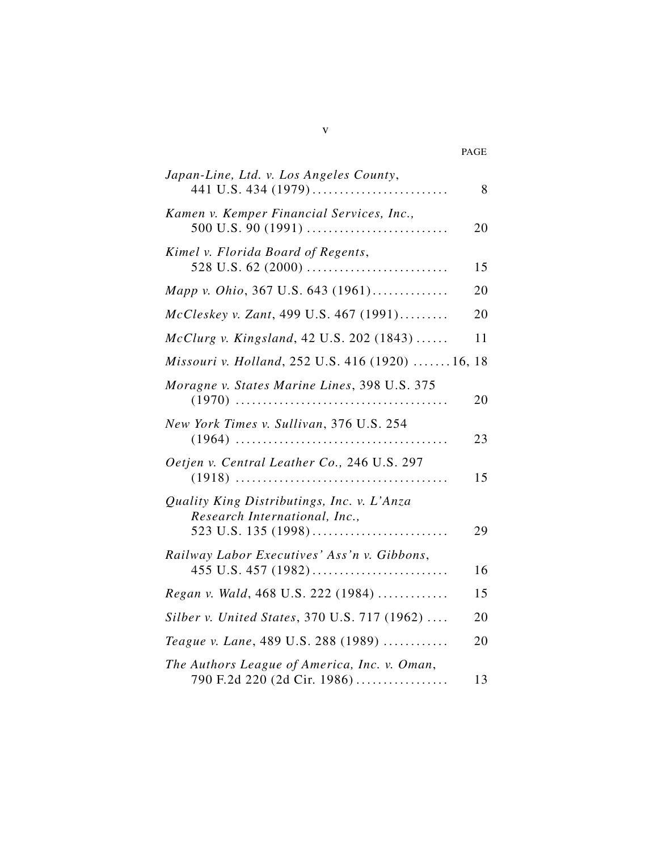| Japan-Line, Ltd. v. Los Angeles County,                                     | 8  |
|-----------------------------------------------------------------------------|----|
| Kamen v. Kemper Financial Services, Inc.,                                   | 20 |
| Kimel v. Florida Board of Regents,                                          | 15 |
| Mapp v. Ohio, 367 U.S. 643 (1961)                                           | 20 |
| McCleskey v. Zant, 499 U.S. 467 (1991)                                      | 20 |
| McClurg v. Kingsland, 42 U.S. 202 (1843)                                    | 11 |
| Missouri v. Holland, 252 U.S. 416 (1920)  16, 18                            |    |
| Moragne v. States Marine Lines, 398 U.S. 375                                | 20 |
| New York Times v. Sullivan, 376 U.S. 254                                    | 23 |
| Oetjen v. Central Leather Co., 246 U.S. 297                                 | 15 |
| Quality King Distributings, Inc. v. L'Anza<br>Research International, Inc., |    |
|                                                                             | 29 |
| Railway Labor Executives' Ass'n v. Gibbons,                                 | 16 |
| Regan v. Wald, 468 U.S. 222 (1984)                                          | 15 |
| Silber v. United States, 370 U.S. 717 (1962)                                | 20 |
| Teague v. Lane, 489 U.S. 288 (1989)                                         | 20 |
| The Authors League of America, Inc. v. Oman,                                |    |
| 790 F.2d 220 (2d Cir. 1986)                                                 | 13 |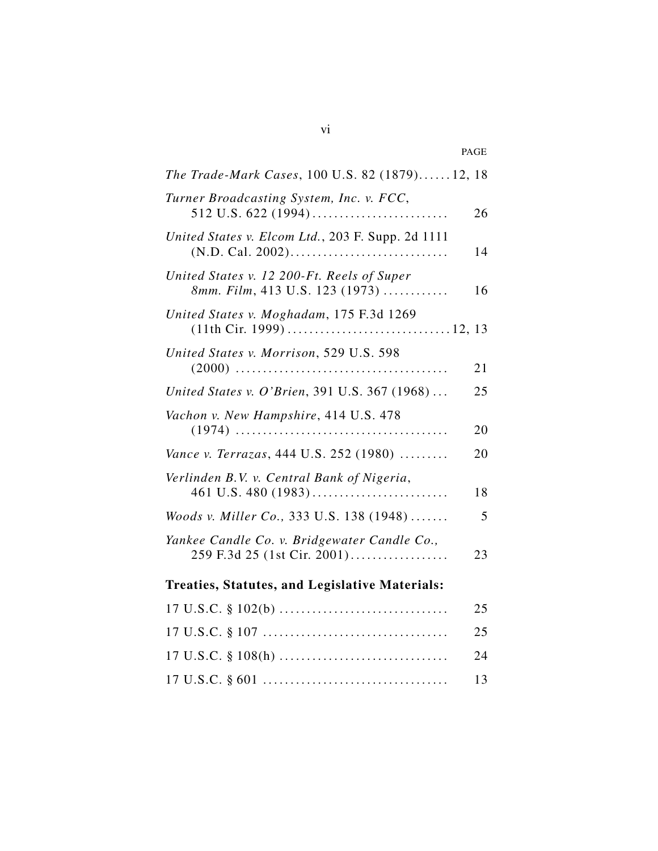|                                                                              | PAGE |
|------------------------------------------------------------------------------|------|
| The Trade-Mark Cases, 100 U.S. 82 (1879)12, 18                               |      |
| Turner Broadcasting System, Inc. v. FCC,                                     | 26   |
| United States v. Elcom Ltd., 203 F. Supp. 2d 1111                            | 14   |
| United States v. 12 200-Ft. Reels of Super<br>8mm. Film, 413 U.S. 123 (1973) | 16   |
| United States v. Moghadam, 175 F.3d 1269                                     |      |
| United States v. Morrison, 529 U.S. 598                                      | 21   |
| United States v. O'Brien, 391 U.S. 367 (1968)                                | 25   |
| Vachon v. New Hampshire, 414 U.S. 478                                        | 20   |
| Vance v. Terrazas, 444 U.S. 252 (1980)                                       | 20   |
| Verlinden B.V. v. Central Bank of Nigeria,                                   | 18   |
| Woods v. Miller Co., 333 U.S. 138 (1948)                                     | 5    |
| Yankee Candle Co. v. Bridgewater Candle Co.,<br>259 F.3d 25 (1st Cir. 2001)  | 23   |
| <b>Treaties, Statutes, and Legislative Materials:</b>                        |      |
| $17 \text{ U.S.C. } $102(b) \dots$                                           | 25   |
|                                                                              | 25   |
| $17 \text{ U.S.C. } $108(h) \dots$                                           | 24   |
|                                                                              | 13   |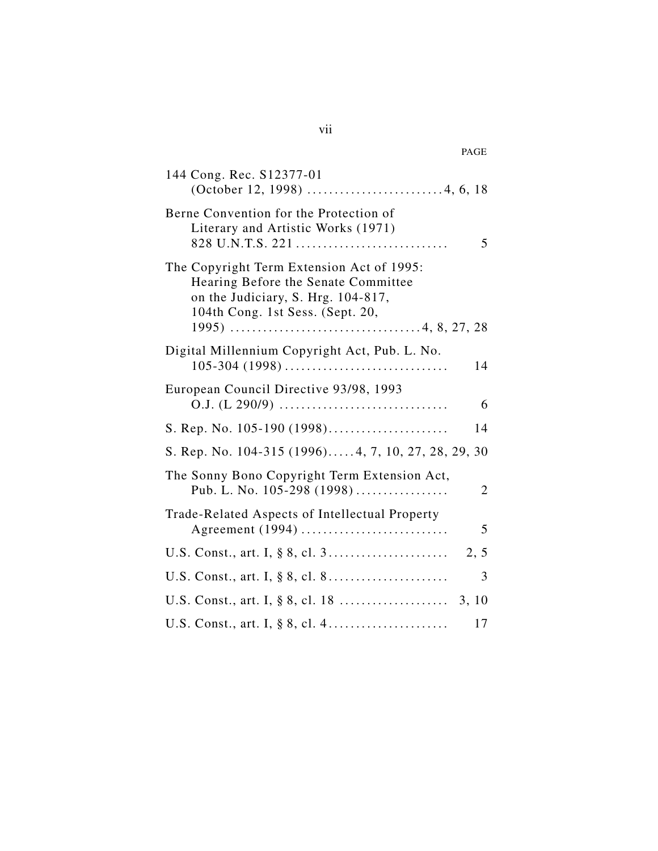| 144 Cong. Rec. S12377-01                                                                                                                                   |
|------------------------------------------------------------------------------------------------------------------------------------------------------------|
| Berne Convention for the Protection of<br>Literary and Artistic Works (1971)<br>828 U.N.T.S. 221<br>5                                                      |
| The Copyright Term Extension Act of 1995:<br>Hearing Before the Senate Committee<br>on the Judiciary, S. Hrg. 104-817,<br>104th Cong. 1st Sess. (Sept. 20, |
| Digital Millennium Copyright Act, Pub. L. No.<br>$105 - 304$ (1998)<br>14                                                                                  |
| European Council Directive 93/98, 1993<br>6                                                                                                                |
| S. Rep. No. 105-190 (1998)<br>14                                                                                                                           |
| S. Rep. No. 104-315 (1996)4, 7, 10, 27, 28, 29, 30                                                                                                         |
| The Sonny Bono Copyright Term Extension Act,<br>Pub. L. No. 105-298 (1998)<br>2                                                                            |
| Trade-Related Aspects of Intellectual Property<br>Agreement (1994)<br>5                                                                                    |
| 2, 5                                                                                                                                                       |
| 3                                                                                                                                                          |
|                                                                                                                                                            |
| 17                                                                                                                                                         |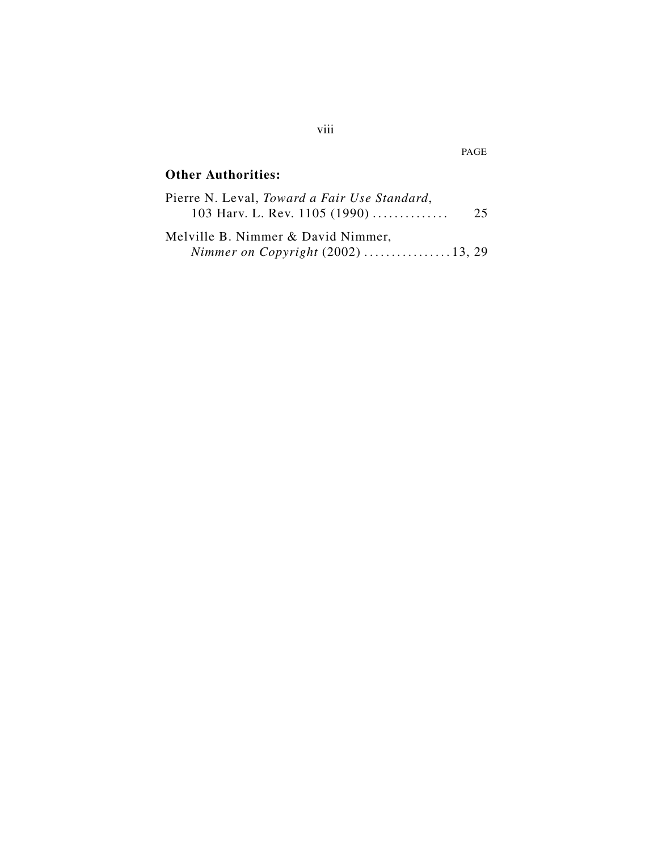# **Other Authorities:**

| Pierre N. Leval, Toward a Fair Use Standard, |    |
|----------------------------------------------|----|
| 103 Harv. L. Rev. 1105 (1990)                | 25 |
| Melville B. Nimmer & David Nimmer,           |    |
| Nimmer on Copyright $(2002)$ 13, 29          |    |

viii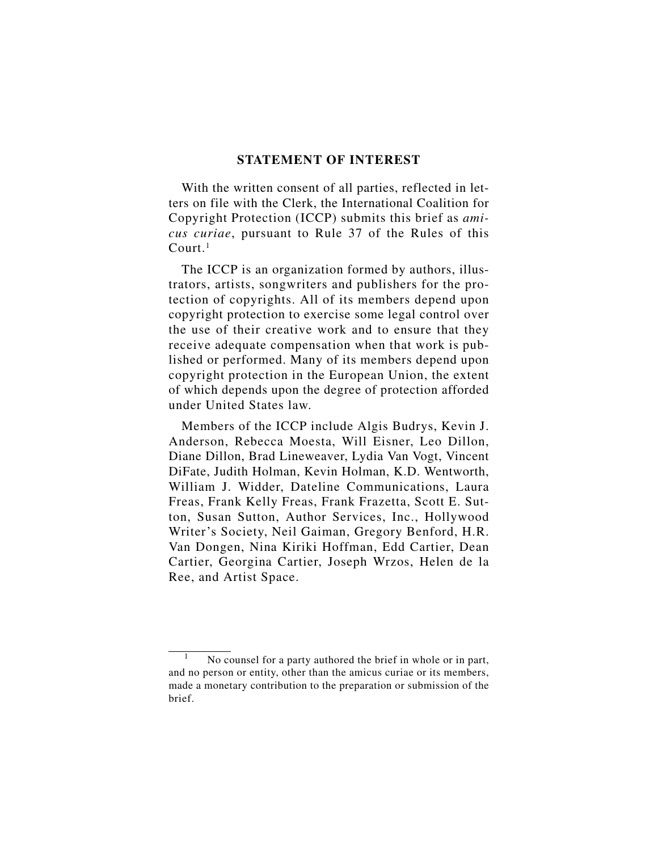#### **STATEMENT OF INTEREST**

With the written consent of all parties, reflected in letters on file with the Clerk, the International Coalition for Copyright Protection (ICCP) submits this brief as *amicus curiae*, pursuant to Rule 37 of the Rules of this  $C$ ourt.<sup>1</sup>

The ICCP is an organization formed by authors, illustrators, artists, songwriters and publishers for the protection of copyrights. All of its members depend upon copyright protection to exercise some legal control over the use of their creative work and to ensure that they receive adequate compensation when that work is published or performed. Many of its members depend upon copyright protection in the European Union, the extent of which depends upon the degree of protection afforded under United States law.

Members of the ICCP include Algis Budrys, Kevin J. Anderson, Rebecca Moesta, Will Eisner, Leo Dillon, Diane Dillon, Brad Lineweaver, Lydia Van Vogt, Vincent DiFate, Judith Holman, Kevin Holman, K.D. Wentworth, William J. Widder, Dateline Communications, Laura Freas, Frank Kelly Freas, Frank Frazetta, Scott E. Sutton, Susan Sutton, Author Services, Inc., Hollywood Writer's Society, Neil Gaiman, Gregory Benford, H.R. Van Dongen, Nina Kiriki Hoffman, Edd Cartier, Dean Cartier, Georgina Cartier, Joseph Wrzos, Helen de la Ree, and Artist Space.

No counsel for a party authored the brief in whole or in part, and no person or entity, other than the amicus curiae or its members, made a monetary contribution to the preparation or submission of the brief.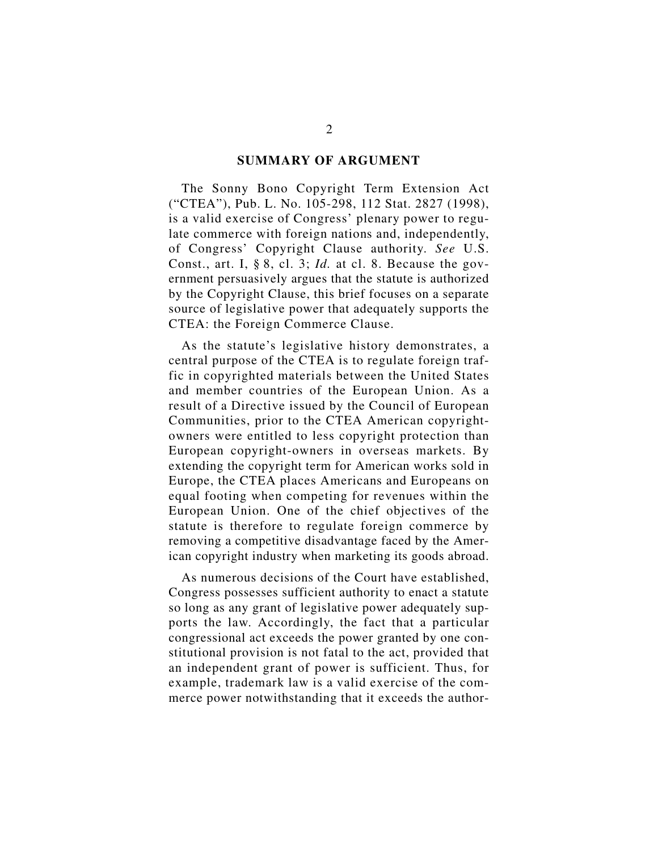#### **SUMMARY OF ARGUMENT**

The Sonny Bono Copyright Term Extension Act ("CTEA"), Pub. L. No. 105-298, 112 Stat. 2827 (1998), is a valid exercise of Congress' plenary power to regulate commerce with foreign nations and, independently, of Congress' Copyright Clause authority. *See* U.S. Const., art. I, § 8, cl. 3; *Id.* at cl. 8. Because the government persuasively argues that the statute is authorized by the Copyright Clause, this brief focuses on a separate source of legislative power that adequately supports the CTEA: the Foreign Commerce Clause.

As the statute's legislative history demonstrates, a central purpose of the CTEA is to regulate foreign traffic in copyrighted materials between the United States and member countries of the European Union. As a result of a Directive issued by the Council of European Communities, prior to the CTEA American copyrightowners were entitled to less copyright protection than European copyright-owners in overseas markets. By extending the copyright term for American works sold in Europe, the CTEA places Americans and Europeans on equal footing when competing for revenues within the European Union. One of the chief objectives of the statute is therefore to regulate foreign commerce by removing a competitive disadvantage faced by the American copyright industry when marketing its goods abroad.

As numerous decisions of the Court have established, Congress possesses sufficient authority to enact a statute so long as any grant of legislative power adequately supports the law. Accordingly, the fact that a particular congressional act exceeds the power granted by one constitutional provision is not fatal to the act, provided that an independent grant of power is sufficient. Thus, for example, trademark law is a valid exercise of the commerce power notwithstanding that it exceeds the author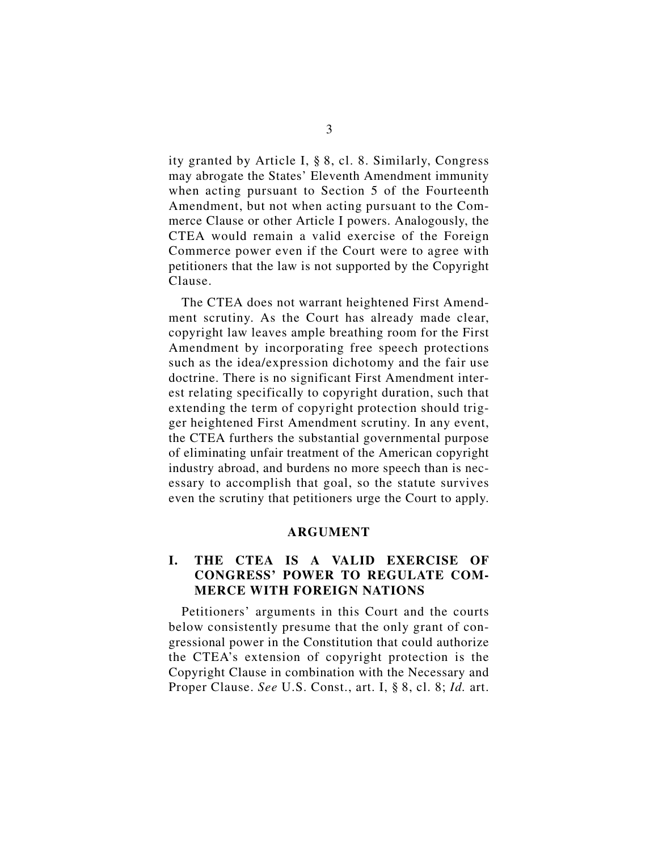ity granted by Article I, § 8, cl. 8. Similarly, Congress may abrogate the States' Eleventh Amendment immunity when acting pursuant to Section 5 of the Fourteenth Amendment, but not when acting pursuant to the Commerce Clause or other Article I powers. Analogously, the CTEA would remain a valid exercise of the Foreign Commerce power even if the Court were to agree with petitioners that the law is not supported by the Copyright Clause.

The CTEA does not warrant heightened First Amendment scrutiny. As the Court has already made clear, copyright law leaves ample breathing room for the First Amendment by incorporating free speech protections such as the idea/expression dichotomy and the fair use doctrine. There is no significant First Amendment interest relating specifically to copyright duration, such that extending the term of copyright protection should trigger heightened First Amendment scrutiny. In any event, the CTEA furthers the substantial governmental purpose of eliminating unfair treatment of the American copyright industry abroad, and burdens no more speech than is necessary to accomplish that goal, so the statute survives even the scrutiny that petitioners urge the Court to apply.

#### **ARGUMENT**

## **I. THE CTEA IS A VALID EXERCISE OF CONGRESS' POWER TO REGULATE COM-MERCE WITH FOREIGN NATIONS**

Petitioners' arguments in this Court and the courts below consistently presume that the only grant of congressional power in the Constitution that could authorize the CTEA's extension of copyright protection is the Copyright Clause in combination with the Necessary and Proper Clause. *See* U.S. Const., art. I, § 8, cl. 8; *Id.* art.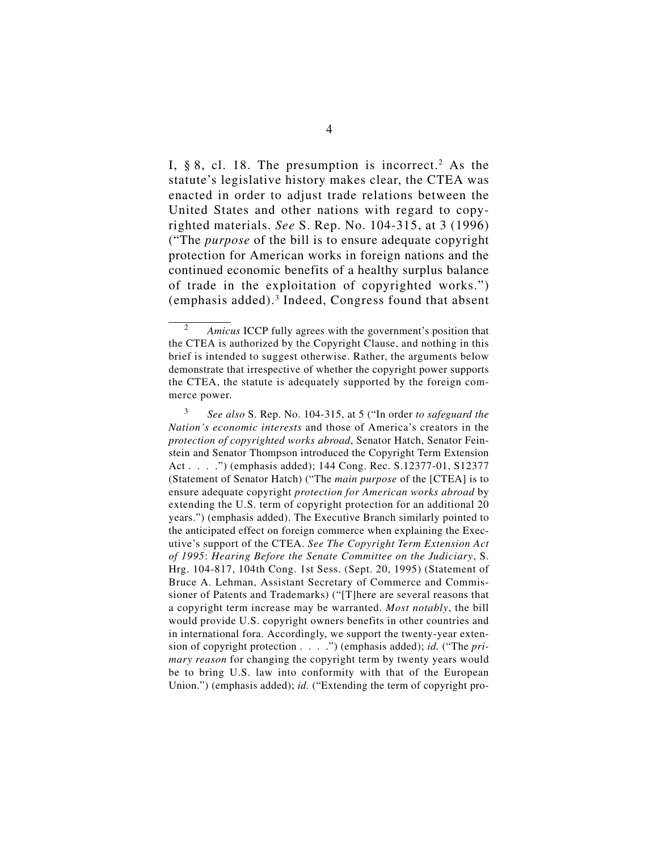I,  $\S 8$ , cl. 18. The presumption is incorrect.<sup>2</sup> As the statute's legislative history makes clear, the CTEA was enacted in order to adjust trade relations between the United States and other nations with regard to copyrighted materials. *See* S. Rep. No. 104-315, at 3 (1996) ("The *purpose* of the bill is to ensure adequate copyright protection for American works in foreign nations and the continued economic benefits of a healthy surplus balance of trade in the exploitation of copyrighted works.") (emphasis added).3 Indeed, Congress found that absent

<sup>2</sup> *Amicus* ICCP fully agrees with the government's position that the CTEA is authorized by the Copyright Clause, and nothing in this brief is intended to suggest otherwise. Rather, the arguments below demonstrate that irrespective of whether the copyright power supports the CTEA, the statute is adequately supported by the foreign commerce power.

<sup>3</sup> *See also* S. Rep. No. 104-315, at 5 ("In order *to safeguard the Nation's economic interests* and those of America's creators in the *protection of copyrighted works abroad*, Senator Hatch, Senator Feinstein and Senator Thompson introduced the Copyright Term Extension Act . . . .") (emphasis added); 144 Cong. Rec. S.12377-01, S12377 (Statement of Senator Hatch) ("The *main purpose* of the [CTEA] is to ensure adequate copyright *protection for American works abroad* by extending the U.S. term of copyright protection for an additional 20 years.") (emphasis added). The Executive Branch similarly pointed to the anticipated effect on foreign commerce when explaining the Executive's support of the CTEA. *See The Copyright Term Extension Act of 1995*: *Hearing Before the Senate Committee on the Judiciary*, S. Hrg. 104-817, 104th Cong. 1st Sess. (Sept. 20, 1995) (Statement of Bruce A. Lehman, Assistant Secretary of Commerce and Commissioner of Patents and Trademarks) ("[T]here are several reasons that a copyright term increase may be warranted. *Most notably*, the bill would provide U.S. copyright owners benefits in other countries and in international fora. Accordingly, we support the twenty-year extension of copyright protection . . . .") (emphasis added); *id.* ("The *primary reason* for changing the copyright term by twenty years would be to bring U.S. law into conformity with that of the European Union.") (emphasis added); *id.* ("Extending the term of copyright pro-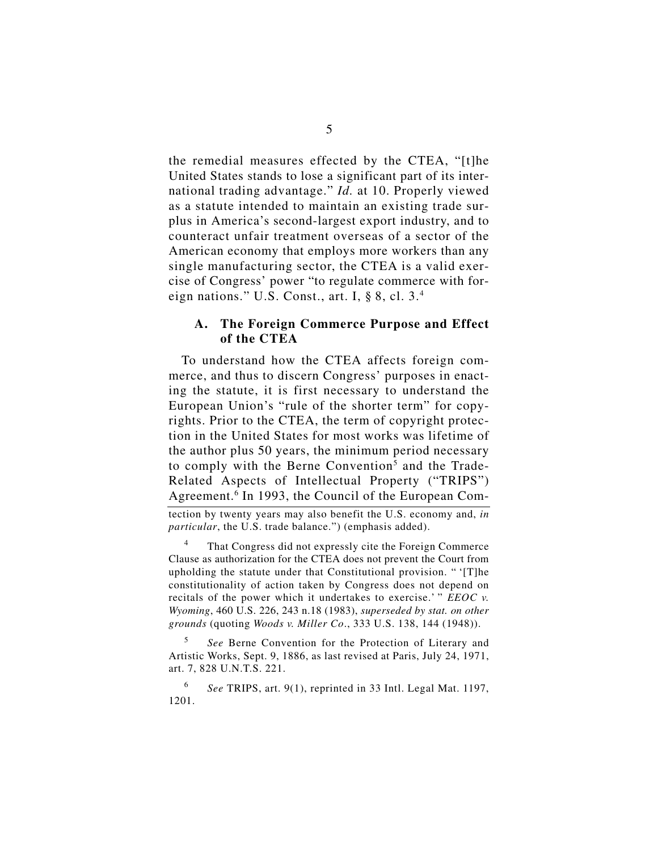the remedial measures effected by the CTEA, "[t]he United States stands to lose a significant part of its international trading advantage." *Id.* at 10. Properly viewed as a statute intended to maintain an existing trade surplus in America's second-largest export industry, and to counteract unfair treatment overseas of a sector of the American economy that employs more workers than any single manufacturing sector, the CTEA is a valid exercise of Congress' power "to regulate commerce with foreign nations." U.S. Const., art. I, § 8, cl. 3.4

#### **A. The Foreign Commerce Purpose and Effect of the CTEA**

To understand how the CTEA affects foreign commerce, and thus to discern Congress' purposes in enacting the statute, it is first necessary to understand the European Union's "rule of the shorter term" for copyrights. Prior to the CTEA, the term of copyright protection in the United States for most works was lifetime of the author plus 50 years, the minimum period necessary to comply with the Berne Convention<sup>5</sup> and the Trade-Related Aspects of Intellectual Property ("TRIPS") Agreement.<sup>6</sup> In 1993, the Council of the European Com-

tection by twenty years may also benefit the U.S. economy and, *in particular*, the U.S. trade balance.") (emphasis added).

That Congress did not expressly cite the Foreign Commerce Clause as authorization for the CTEA does not prevent the Court from upholding the statute under that Constitutional provision. " '[T]he constitutionality of action taken by Congress does not depend on recitals of the power which it undertakes to exercise.' " *EEOC v. Wyoming*, 460 U.S. 226, 243 n.18 (1983), *superseded by stat. on other grounds* (quoting *Woods v. Miller Co*., 333 U.S. 138, 144 (1948)).

<sup>5</sup> *See* Berne Convention for the Protection of Literary and Artistic Works, Sept. 9, 1886, as last revised at Paris, July 24, 1971, art. 7, 828 U.N.T.S. 221.

<sup>6</sup> *See* TRIPS, art. 9(1), reprinted in 33 Intl. Legal Mat. 1197, 1201.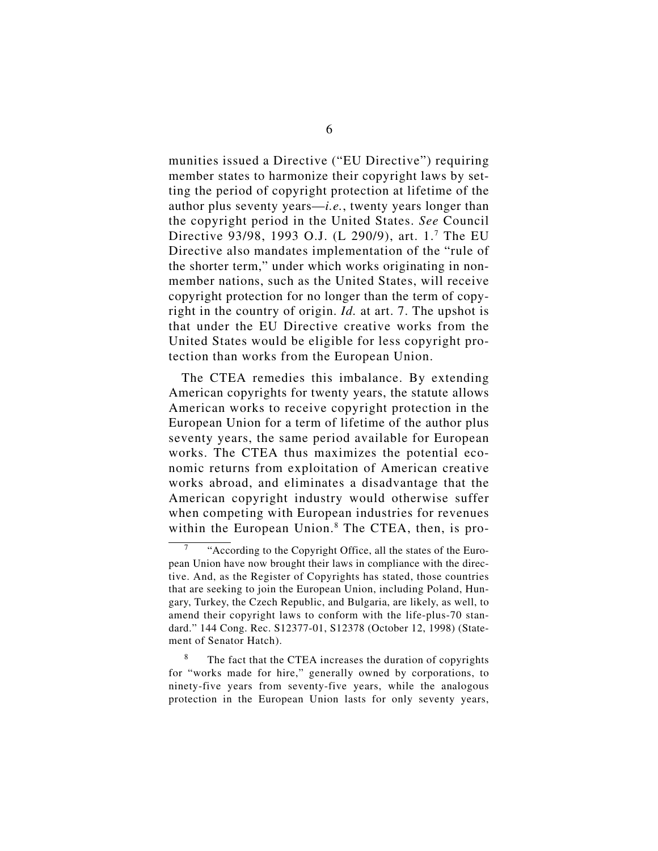munities issued a Directive ("EU Directive") requiring member states to harmonize their copyright laws by setting the period of copyright protection at lifetime of the author plus seventy years—*i.e.*, twenty years longer than the copyright period in the United States. *See* Council Directive 93/98, 1993 O.J. (L 290/9), art. 1.7 The EU Directive also mandates implementation of the "rule of the shorter term," under which works originating in nonmember nations, such as the United States, will receive copyright protection for no longer than the term of copyright in the country of origin. *Id.* at art. 7. The upshot is that under the EU Directive creative works from the United States would be eligible for less copyright protection than works from the European Union.

The CTEA remedies this imbalance. By extending American copyrights for twenty years, the statute allows American works to receive copyright protection in the European Union for a term of lifetime of the author plus seventy years, the same period available for European works. The CTEA thus maximizes the potential economic returns from exploitation of American creative works abroad, and eliminates a disadvantage that the American copyright industry would otherwise suffer when competing with European industries for revenues within the European Union.<sup>8</sup> The CTEA, then, is pro-

<sup>&</sup>quot;According to the Copyright Office, all the states of the European Union have now brought their laws in compliance with the directive. And, as the Register of Copyrights has stated, those countries that are seeking to join the European Union, including Poland, Hungary, Turkey, the Czech Republic, and Bulgaria, are likely, as well, to amend their copyright laws to conform with the life-plus-70 standard." 144 Cong. Rec. S12377-01, S12378 (October 12, 1998) (Statement of Senator Hatch).

The fact that the CTEA increases the duration of copyrights for "works made for hire," generally owned by corporations, to ninety-five years from seventy-five years, while the analogous protection in the European Union lasts for only seventy years,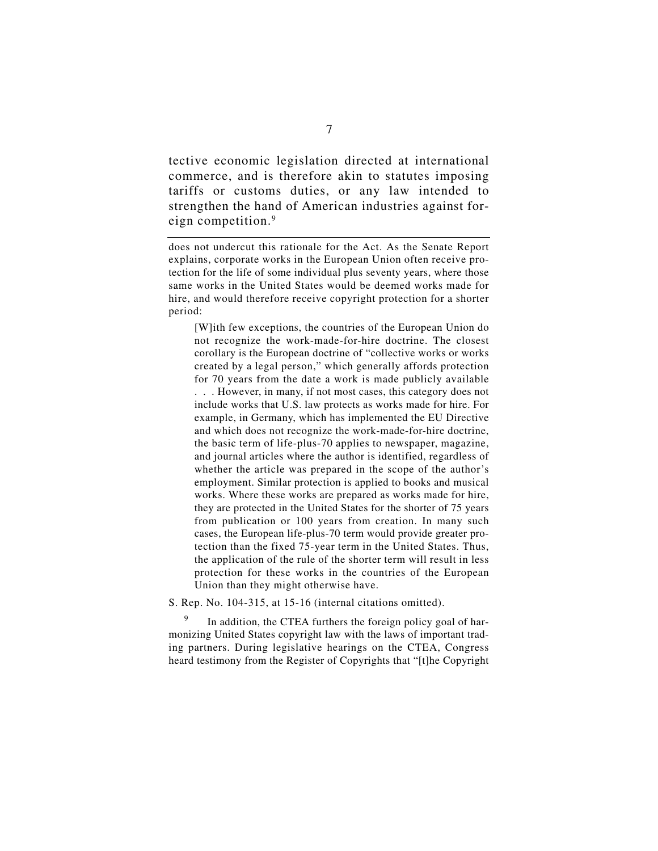tective economic legislation directed at international commerce, and is therefore akin to statutes imposing tariffs or customs duties, or any law intended to strengthen the hand of American industries against foreign competition.9

does not undercut this rationale for the Act. As the Senate Report explains, corporate works in the European Union often receive protection for the life of some individual plus seventy years, where those same works in the United States would be deemed works made for hire, and would therefore receive copyright protection for a shorter period:

[W]ith few exceptions, the countries of the European Union do not recognize the work-made-for-hire doctrine. The closest corollary is the European doctrine of "collective works or works created by a legal person," which generally affords protection for 70 years from the date a work is made publicly available . . . However, in many, if not most cases, this category does not include works that U.S. law protects as works made for hire. For example, in Germany, which has implemented the EU Directive and which does not recognize the work-made-for-hire doctrine, the basic term of life-plus-70 applies to newspaper, magazine, and journal articles where the author is identified, regardless of whether the article was prepared in the scope of the author's employment. Similar protection is applied to books and musical works. Where these works are prepared as works made for hire, they are protected in the United States for the shorter of 75 years from publication or 100 years from creation. In many such cases, the European life-plus-70 term would provide greater protection than the fixed 75-year term in the United States. Thus, the application of the rule of the shorter term will result in less protection for these works in the countries of the European Union than they might otherwise have.

S. Rep. No. 104-315, at 15-16 (internal citations omitted).

<sup>9</sup> In addition, the CTEA furthers the foreign policy goal of harmonizing United States copyright law with the laws of important trading partners. During legislative hearings on the CTEA, Congress heard testimony from the Register of Copyrights that "[t]he Copyright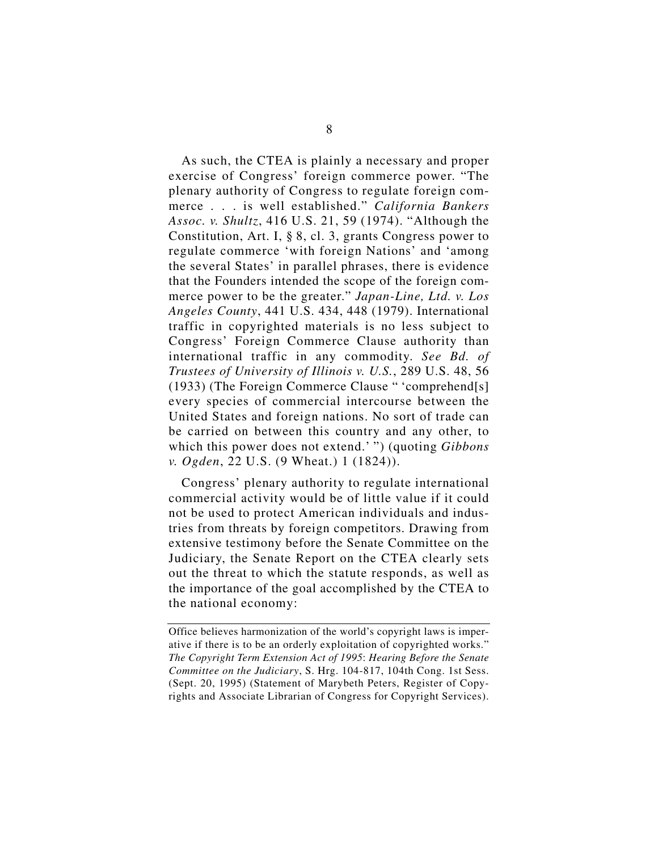As such, the CTEA is plainly a necessary and proper exercise of Congress' foreign commerce power. "The plenary authority of Congress to regulate foreign commerce . . . is well established." *California Bankers Assoc. v. Shultz*, 416 U.S. 21, 59 (1974). "Although the Constitution, Art. I, § 8, cl. 3, grants Congress power to regulate commerce 'with foreign Nations' and 'among the several States' in parallel phrases, there is evidence that the Founders intended the scope of the foreign commerce power to be the greater." *Japan-Line, Ltd. v. Los Angeles County*, 441 U.S. 434, 448 (1979). International traffic in copyrighted materials is no less subject to Congress' Foreign Commerce Clause authority than international traffic in any commodity. *See Bd. of Trustees of University of Illinois v. U.S.*, 289 U.S. 48, 56 (1933) (The Foreign Commerce Clause " 'comprehend[s] every species of commercial intercourse between the United States and foreign nations. No sort of trade can be carried on between this country and any other, to which this power does not extend.' ") (quoting *Gibbons v. Ogden*, 22 U.S. (9 Wheat.) 1 (1824)).

Congress' plenary authority to regulate international commercial activity would be of little value if it could not be used to protect American individuals and industries from threats by foreign competitors. Drawing from extensive testimony before the Senate Committee on the Judiciary, the Senate Report on the CTEA clearly sets out the threat to which the statute responds, as well as the importance of the goal accomplished by the CTEA to the national economy:

Office believes harmonization of the world's copyright laws is imperative if there is to be an orderly exploitation of copyrighted works." *The Copyright Term Extension Act of 1995*: *Hearing Before the Senate Committee on the Judiciary*, S. Hrg. 104-817, 104th Cong. 1st Sess. (Sept. 20, 1995) (Statement of Marybeth Peters, Register of Copyrights and Associate Librarian of Congress for Copyright Services).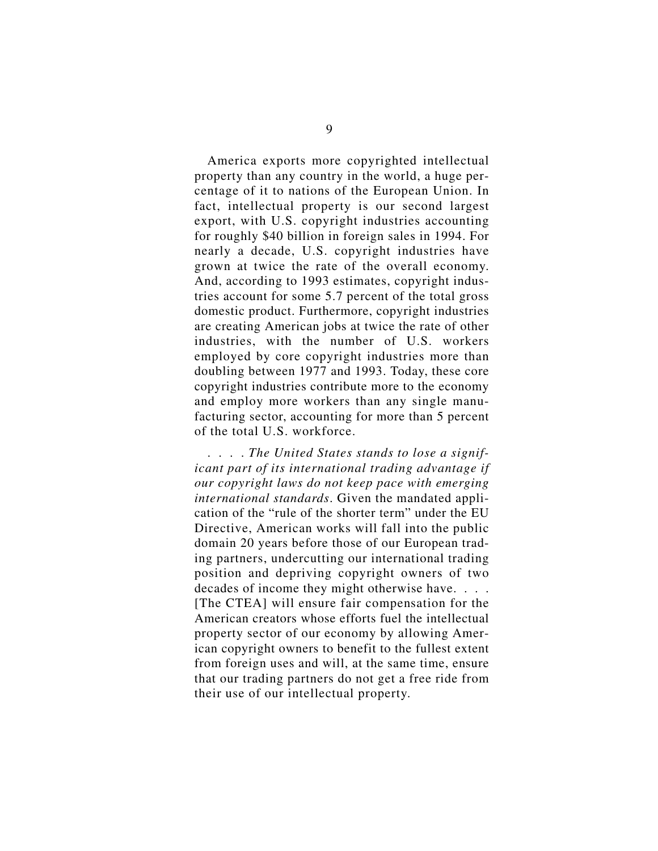America exports more copyrighted intellectual property than any country in the world, a huge percentage of it to nations of the European Union. In fact, intellectual property is our second largest export, with U.S. copyright industries accounting for roughly \$40 billion in foreign sales in 1994. For nearly a decade, U.S. copyright industries have grown at twice the rate of the overall economy. And, according to 1993 estimates, copyright industries account for some 5.7 percent of the total gross domestic product. Furthermore, copyright industries are creating American jobs at twice the rate of other industries, with the number of U.S. workers employed by core copyright industries more than doubling between 1977 and 1993. Today, these core copyright industries contribute more to the economy and employ more workers than any single manufacturing sector, accounting for more than 5 percent of the total U.S. workforce.

. . . . *The United States stands to lose a significant part of its international trading advantage if our copyright laws do not keep pace with emerging international standards*. Given the mandated application of the "rule of the shorter term" under the EU Directive, American works will fall into the public domain 20 years before those of our European trading partners, undercutting our international trading position and depriving copyright owners of two decades of income they might otherwise have. . . . [The CTEA] will ensure fair compensation for the American creators whose efforts fuel the intellectual property sector of our economy by allowing American copyright owners to benefit to the fullest extent from foreign uses and will, at the same time, ensure that our trading partners do not get a free ride from their use of our intellectual property.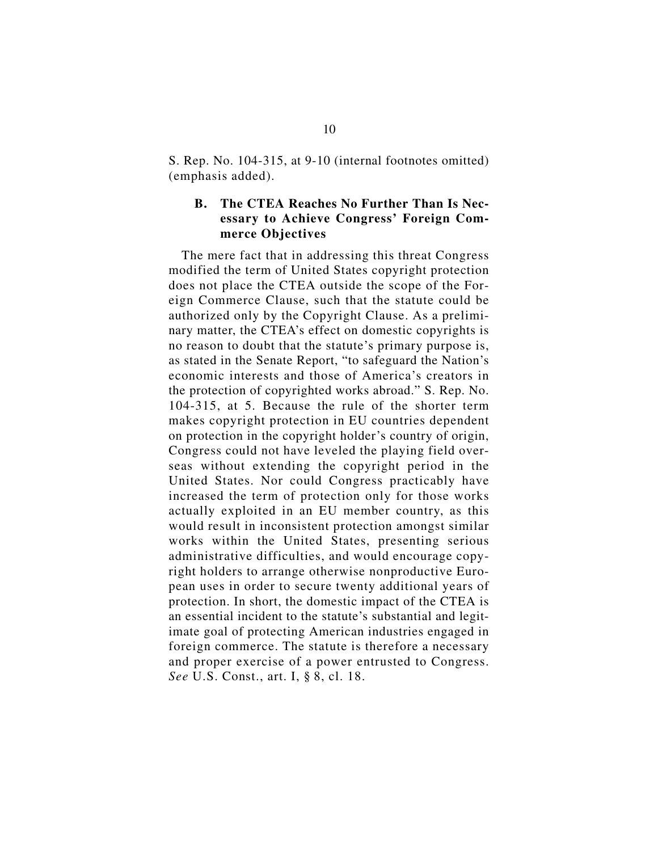S. Rep. No. 104-315, at 9-10 (internal footnotes omitted) (emphasis added).

## **B. The CTEA Reaches No Further Than Is Necessary to Achieve Congress' Foreign Commerce Objectives**

The mere fact that in addressing this threat Congress modified the term of United States copyright protection does not place the CTEA outside the scope of the Foreign Commerce Clause, such that the statute could be authorized only by the Copyright Clause. As a preliminary matter, the CTEA's effect on domestic copyrights is no reason to doubt that the statute's primary purpose is, as stated in the Senate Report, "to safeguard the Nation's economic interests and those of America's creators in the protection of copyrighted works abroad." S. Rep. No. 104-315, at 5. Because the rule of the shorter term makes copyright protection in EU countries dependent on protection in the copyright holder's country of origin, Congress could not have leveled the playing field overseas without extending the copyright period in the United States. Nor could Congress practicably have increased the term of protection only for those works actually exploited in an EU member country, as this would result in inconsistent protection amongst similar works within the United States, presenting serious administrative difficulties, and would encourage copyright holders to arrange otherwise nonproductive European uses in order to secure twenty additional years of protection. In short, the domestic impact of the CTEA is an essential incident to the statute's substantial and legitimate goal of protecting American industries engaged in foreign commerce. The statute is therefore a necessary and proper exercise of a power entrusted to Congress. *See* U.S. Const., art. I, § 8, cl. 18.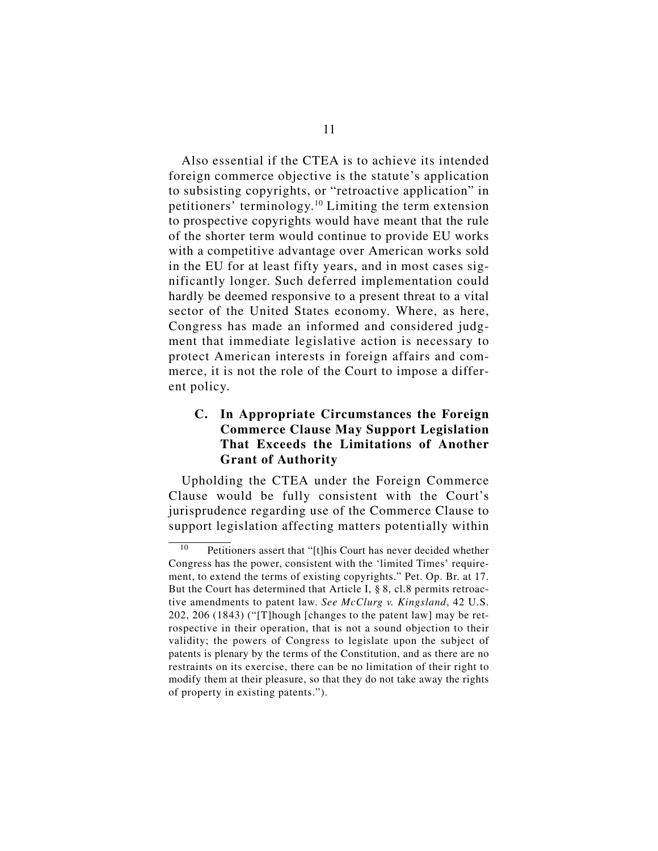Also essential if the CTEA is to achieve its intended foreign commerce objective is the statute's application to subsisting copyrights, or "retroactive application" in petitioners' terminology.10 Limiting the term extension to prospective copyrights would have meant that the rule of the shorter term would continue to provide EU works with a competitive advantage over American works sold in the EU for at least fifty years, and in most cases significantly longer. Such deferred implementation could hardly be deemed responsive to a present threat to a vital sector of the United States economy. Where, as here, Congress has made an informed and considered judgment that immediate legislative action is necessary to protect American interests in foreign affairs and commerce, it is not the role of the Court to impose a different policy.

## **C. In Appropriate Circumstances the Foreign Commerce Clause May Support Legislation That Exceeds the Limitations of Another Grant of Authority**

Upholding the CTEA under the Foreign Commerce Clause would be fully consistent with the Court's jurisprudence regarding use of the Commerce Clause to support legislation affecting matters potentially within

<sup>10</sup> Petitioners assert that "[t]his Court has never decided whether Congress has the power, consistent with the 'limited Times' requirement, to extend the terms of existing copyrights." Pet. Op. Br. at 17. But the Court has determined that Article I, § 8, cl.8 permits retroactive amendments to patent law. *See McClurg v. Kingsland*, 42 U.S. 202, 206 (1843) ("[T]hough [changes to the patent law] may be retrospective in their operation, that is not a sound objection to their validity; the powers of Congress to legislate upon the subject of patents is plenary by the terms of the Constitution, and as there are no restraints on its exercise, there can be no limitation of their right to modify them at their pleasure, so that they do not take away the rights of property in existing patents.").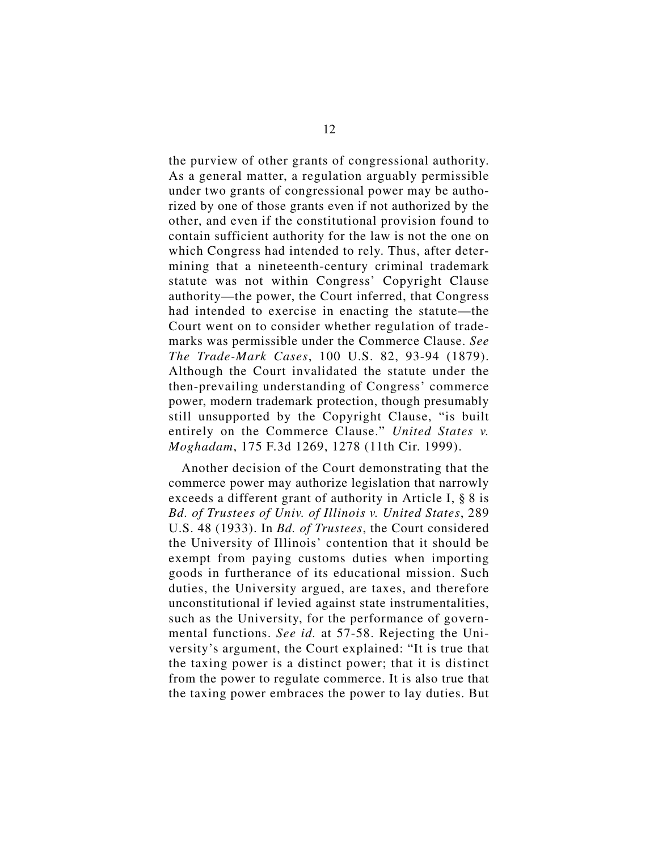the purview of other grants of congressional authority. As a general matter, a regulation arguably permissible under two grants of congressional power may be authorized by one of those grants even if not authorized by the other, and even if the constitutional provision found to contain sufficient authority for the law is not the one on which Congress had intended to rely. Thus, after determining that a nineteenth-century criminal trademark statute was not within Congress' Copyright Clause authority—the power, the Court inferred, that Congress had intended to exercise in enacting the statute—the Court went on to consider whether regulation of trademarks was permissible under the Commerce Clause. *See The Trade-Mark Cases*, 100 U.S. 82, 93-94 (1879). Although the Court invalidated the statute under the then-prevailing understanding of Congress' commerce power, modern trademark protection, though presumably still unsupported by the Copyright Clause, "is built entirely on the Commerce Clause." *United States v. Moghadam*, 175 F.3d 1269, 1278 (11th Cir. 1999).

Another decision of the Court demonstrating that the commerce power may authorize legislation that narrowly exceeds a different grant of authority in Article I, § 8 is *Bd. of Trustees of Univ. of Illinois v. United States*, 289 U.S. 48 (1933). In *Bd. of Trustees*, the Court considered the University of Illinois' contention that it should be exempt from paying customs duties when importing goods in furtherance of its educational mission. Such duties, the University argued, are taxes, and therefore unconstitutional if levied against state instrumentalities, such as the University, for the performance of governmental functions. *See id.* at 57-58. Rejecting the University's argument, the Court explained: "It is true that the taxing power is a distinct power; that it is distinct from the power to regulate commerce. It is also true that the taxing power embraces the power to lay duties. But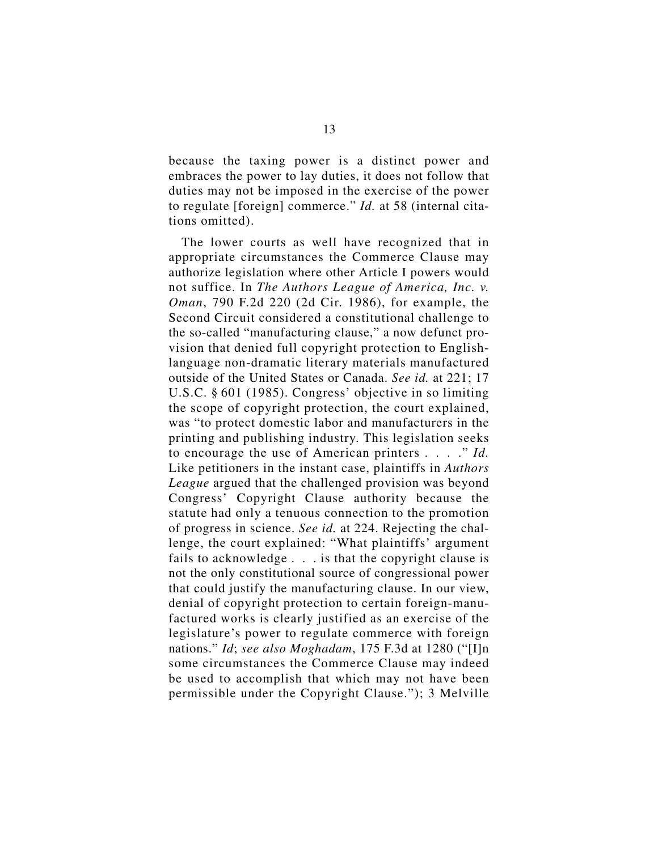because the taxing power is a distinct power and embraces the power to lay duties, it does not follow that duties may not be imposed in the exercise of the power to regulate [foreign] commerce." *Id.* at 58 (internal citations omitted).

The lower courts as well have recognized that in appropriate circumstances the Commerce Clause may authorize legislation where other Article I powers would not suffice. In *The Authors League of America, Inc. v. Oman*, 790 F.2d 220 (2d Cir. 1986), for example, the Second Circuit considered a constitutional challenge to the so-called "manufacturing clause," a now defunct provision that denied full copyright protection to Englishlanguage non-dramatic literary materials manufactured outside of the United States or Canada. *See id.* at 221; 17 U.S.C. § 601 (1985). Congress' objective in so limiting the scope of copyright protection, the court explained, was "to protect domestic labor and manufacturers in the printing and publishing industry. This legislation seeks to encourage the use of American printers . . . ." *Id.* Like petitioners in the instant case, plaintiffs in *Authors League* argued that the challenged provision was beyond Congress' Copyright Clause authority because the statute had only a tenuous connection to the promotion of progress in science. *See id.* at 224. Rejecting the challenge, the court explained: "What plaintiffs' argument fails to acknowledge . . . is that the copyright clause is not the only constitutional source of congressional power that could justify the manufacturing clause. In our view, denial of copyright protection to certain foreign-manufactured works is clearly justified as an exercise of the legislature's power to regulate commerce with foreign nations." *Id*; *see also Moghadam*, 175 F.3d at 1280 ("[I]n some circumstances the Commerce Clause may indeed be used to accomplish that which may not have been permissible under the Copyright Clause."); 3 Melville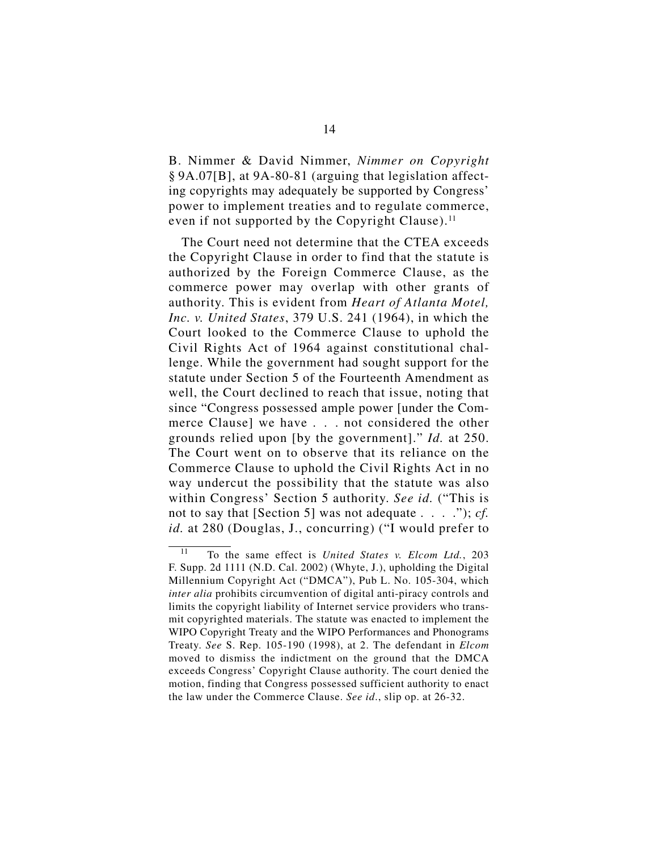B. Nimmer & David Nimmer, *Nimmer on Copyright* § 9A.07[B], at 9A-80-81 (arguing that legislation affecting copyrights may adequately be supported by Congress' power to implement treaties and to regulate commerce, even if not supported by the Copyright Clause). $<sup>11</sup>$ </sup>

The Court need not determine that the CTEA exceeds the Copyright Clause in order to find that the statute is authorized by the Foreign Commerce Clause, as the commerce power may overlap with other grants of authority. This is evident from *Heart of Atlanta Motel, Inc. v. United States*, 379 U.S. 241 (1964), in which the Court looked to the Commerce Clause to uphold the Civil Rights Act of 1964 against constitutional challenge. While the government had sought support for the statute under Section 5 of the Fourteenth Amendment as well, the Court declined to reach that issue, noting that since "Congress possessed ample power [under the Commerce Clause] we have . . . not considered the other grounds relied upon [by the government]." *Id.* at 250. The Court went on to observe that its reliance on the Commerce Clause to uphold the Civil Rights Act in no way undercut the possibility that the statute was also within Congress' Section 5 authority. *See id.* ("This is not to say that [Section 5] was not adequate . . . ."); *cf. id.* at 280 (Douglas, J., concurring) ("I would prefer to

<sup>11</sup> To the same effect is *United States v. Elcom Ltd.*, 203 F. Supp. 2d 1111 (N.D. Cal. 2002) (Whyte, J.), upholding the Digital Millennium Copyright Act ("DMCA"), Pub L. No. 105-304, which *inter alia* prohibits circumvention of digital anti-piracy controls and limits the copyright liability of Internet service providers who transmit copyrighted materials. The statute was enacted to implement the WIPO Copyright Treaty and the WIPO Performances and Phonograms Treaty. *See* S. Rep. 105-190 (1998), at 2. The defendant in *Elcom* moved to dismiss the indictment on the ground that the DMCA exceeds Congress' Copyright Clause authority. The court denied the motion, finding that Congress possessed sufficient authority to enact the law under the Commerce Clause. *See id*., slip op. at 26-32.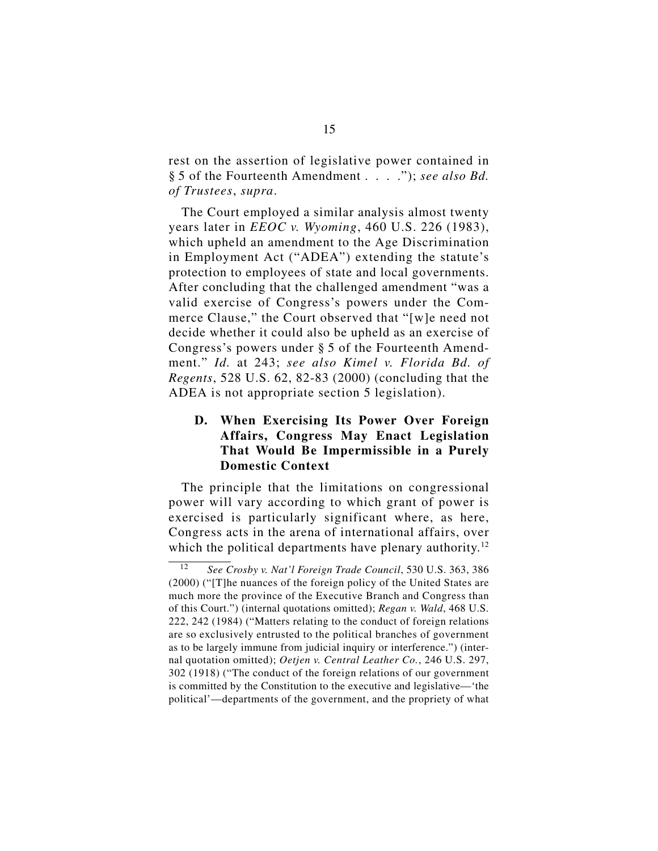rest on the assertion of legislative power contained in § 5 of the Fourteenth Amendment . . . ."); *see also Bd. of Trustees*, *supra*.

The Court employed a similar analysis almost twenty years later in *EEOC v. Wyoming*, 460 U.S. 226 (1983), which upheld an amendment to the Age Discrimination in Employment Act ("ADEA") extending the statute's protection to employees of state and local governments. After concluding that the challenged amendment "was a valid exercise of Congress's powers under the Commerce Clause," the Court observed that "[w]e need not decide whether it could also be upheld as an exercise of Congress's powers under § 5 of the Fourteenth Amendment." *Id.* at 243; *see also Kimel v. Florida Bd. of Regents*, 528 U.S. 62, 82-83 (2000) (concluding that the ADEA is not appropriate section 5 legislation).

## **D. When Exercising Its Power Over Foreign Affairs, Congress May Enact Legislation That Would Be Impermissible in a Purely Domestic Context**

The principle that the limitations on congressional power will vary according to which grant of power is exercised is particularly significant where, as here, Congress acts in the arena of international affairs, over which the political departments have plenary authority.<sup>12</sup>

<sup>12</sup> *See Crosby v. Nat'l Foreign Trade Council*, 530 U.S. 363, 386 (2000) ("[T]he nuances of the foreign policy of the United States are much more the province of the Executive Branch and Congress than of this Court.") (internal quotations omitted); *Regan v. Wald*, 468 U.S. 222, 242 (1984) ("Matters relating to the conduct of foreign relations are so exclusively entrusted to the political branches of government as to be largely immune from judicial inquiry or interference.") (internal quotation omitted); *Oetjen v. Central Leather Co.*, 246 U.S. 297, 302 (1918) ("The conduct of the foreign relations of our government is committed by the Constitution to the executive and legislative—'the political'—departments of the government, and the propriety of what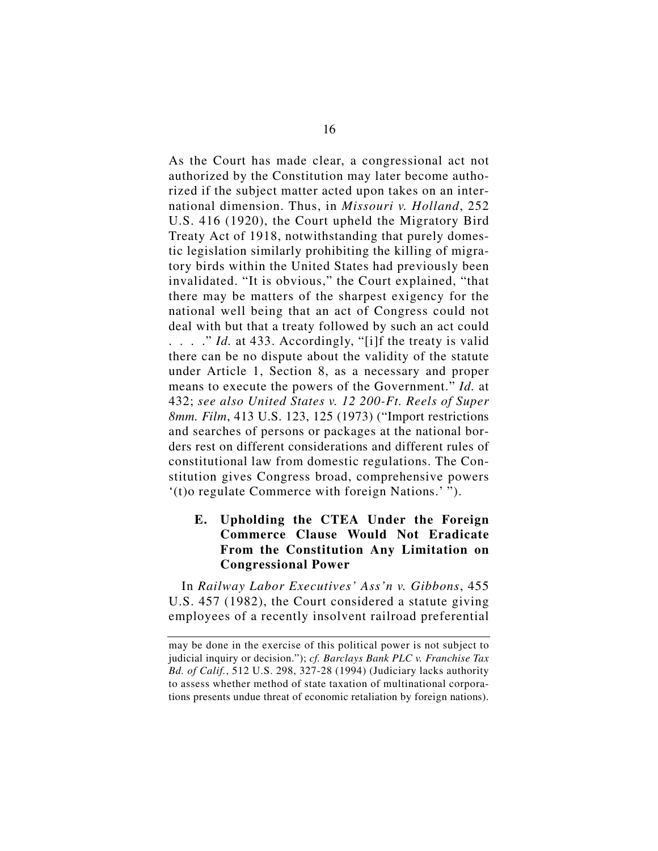As the Court has made clear, a congressional act not authorized by the Constitution may later become authorized if the subject matter acted upon takes on an international dimension. Thus, in *Missouri v. Holland*, 252 U.S. 416 (1920), the Court upheld the Migratory Bird Treaty Act of 1918, notwithstanding that purely domestic legislation similarly prohibiting the killing of migratory birds within the United States had previously been invalidated. "It is obvious," the Court explained, "that there may be matters of the sharpest exigency for the national well being that an act of Congress could not deal with but that a treaty followed by such an act could . . . . " *Id.* at 433. Accordingly, "[i]f the treaty is valid there can be no dispute about the validity of the statute under Article 1, Section 8, as a necessary and proper means to execute the powers of the Government." *Id.* at 432; *see also United States v. 12 200-Ft. Reels of Super 8mm. Film*, 413 U.S. 123, 125 (1973) ("Import restrictions and searches of persons or packages at the national borders rest on different considerations and different rules of constitutional law from domestic regulations. The Constitution gives Congress broad, comprehensive powers '(t)o regulate Commerce with foreign Nations.' ").

## **E. Upholding the CTEA Under the Foreign Commerce Clause Would Not Eradicate From the Constitution Any Limitation on Congressional Power**

In *Railway Labor Executives' Ass'n v. Gibbons*, 455 U.S. 457 (1982), the Court considered a statute giving employees of a recently insolvent railroad preferential

may be done in the exercise of this political power is not subject to judicial inquiry or decision."); *cf. Barclays Bank PLC v. Franchise Tax Bd. of Calif.*, 512 U.S. 298, 327-28 (1994) (Judiciary lacks authority to assess whether method of state taxation of multinational corporations presents undue threat of economic retaliation by foreign nations).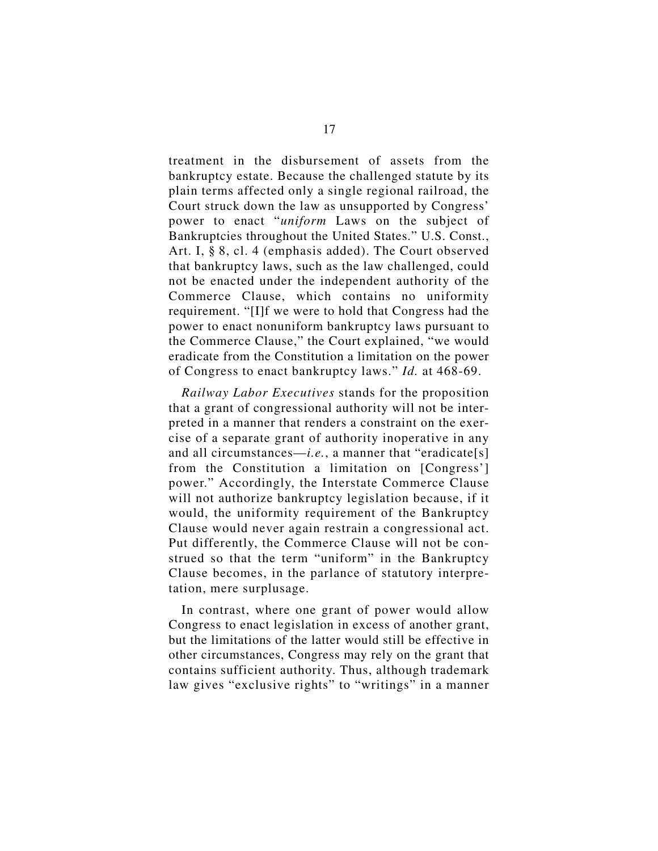treatment in the disbursement of assets from the bankruptcy estate. Because the challenged statute by its plain terms affected only a single regional railroad, the Court struck down the law as unsupported by Congress' power to enact "*uniform* Laws on the subject of Bankruptcies throughout the United States." U.S. Const., Art. I, § 8, cl. 4 (emphasis added). The Court observed that bankruptcy laws, such as the law challenged, could not be enacted under the independent authority of the Commerce Clause, which contains no uniformity requirement. "[I]f we were to hold that Congress had the power to enact nonuniform bankruptcy laws pursuant to the Commerce Clause," the Court explained, "we would eradicate from the Constitution a limitation on the power of Congress to enact bankruptcy laws." *Id.* at 468-69.

*Railway Labor Executives* stands for the proposition that a grant of congressional authority will not be interpreted in a manner that renders a constraint on the exercise of a separate grant of authority inoperative in any and all circumstances—*i.e.*, a manner that "eradicate[s] from the Constitution a limitation on [Congress'] power." Accordingly, the Interstate Commerce Clause will not authorize bankruptcy legislation because, if it would, the uniformity requirement of the Bankruptcy Clause would never again restrain a congressional act. Put differently, the Commerce Clause will not be construed so that the term "uniform" in the Bankruptcy Clause becomes, in the parlance of statutory interpretation, mere surplusage.

In contrast, where one grant of power would allow Congress to enact legislation in excess of another grant, but the limitations of the latter would still be effective in other circumstances, Congress may rely on the grant that contains sufficient authority. Thus, although trademark law gives "exclusive rights" to "writings" in a manner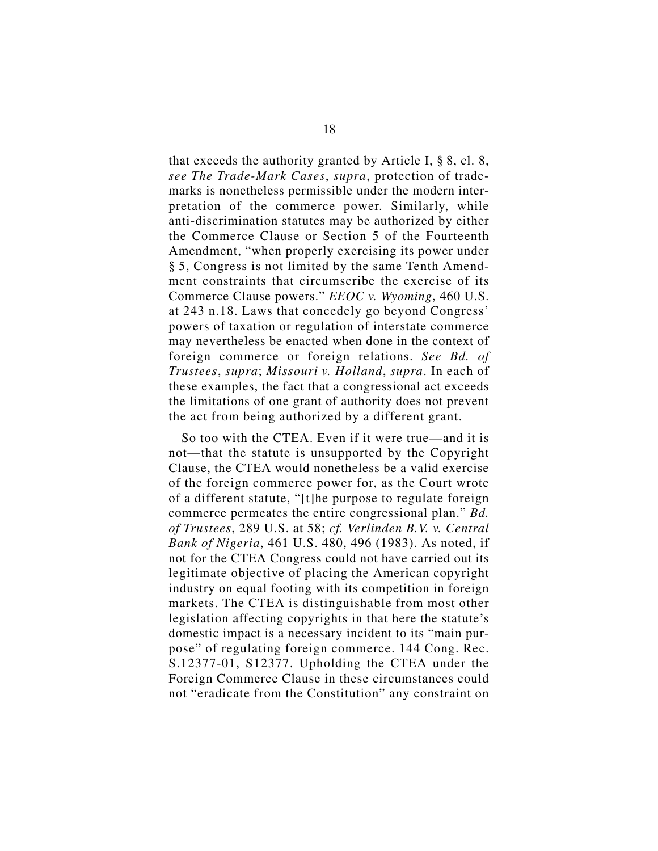that exceeds the authority granted by Article I, § 8, cl. 8, *see The Trade-Mark Cases*, *supra*, protection of trademarks is nonetheless permissible under the modern interpretation of the commerce power. Similarly, while anti-discrimination statutes may be authorized by either the Commerce Clause or Section 5 of the Fourteenth Amendment, "when properly exercising its power under § 5, Congress is not limited by the same Tenth Amendment constraints that circumscribe the exercise of its Commerce Clause powers." *EEOC v. Wyoming*, 460 U.S. at 243 n.18. Laws that concedely go beyond Congress' powers of taxation or regulation of interstate commerce may nevertheless be enacted when done in the context of foreign commerce or foreign relations. *See Bd. of Trustees*, *supra*; *Missouri v. Holland*, *supra*. In each of these examples, the fact that a congressional act exceeds the limitations of one grant of authority does not prevent the act from being authorized by a different grant.

So too with the CTEA. Even if it were true—and it is not—that the statute is unsupported by the Copyright Clause, the CTEA would nonetheless be a valid exercise of the foreign commerce power for, as the Court wrote of a different statute, "[t]he purpose to regulate foreign commerce permeates the entire congressional plan." *Bd. of Trustees*, 289 U.S. at 58; *cf. Verlinden B.V. v. Central Bank of Nigeria*, 461 U.S. 480, 496 (1983). As noted, if not for the CTEA Congress could not have carried out its legitimate objective of placing the American copyright industry on equal footing with its competition in foreign markets. The CTEA is distinguishable from most other legislation affecting copyrights in that here the statute's domestic impact is a necessary incident to its "main purpose" of regulating foreign commerce. 144 Cong. Rec. S.12377-01, S12377. Upholding the CTEA under the Foreign Commerce Clause in these circumstances could not "eradicate from the Constitution" any constraint on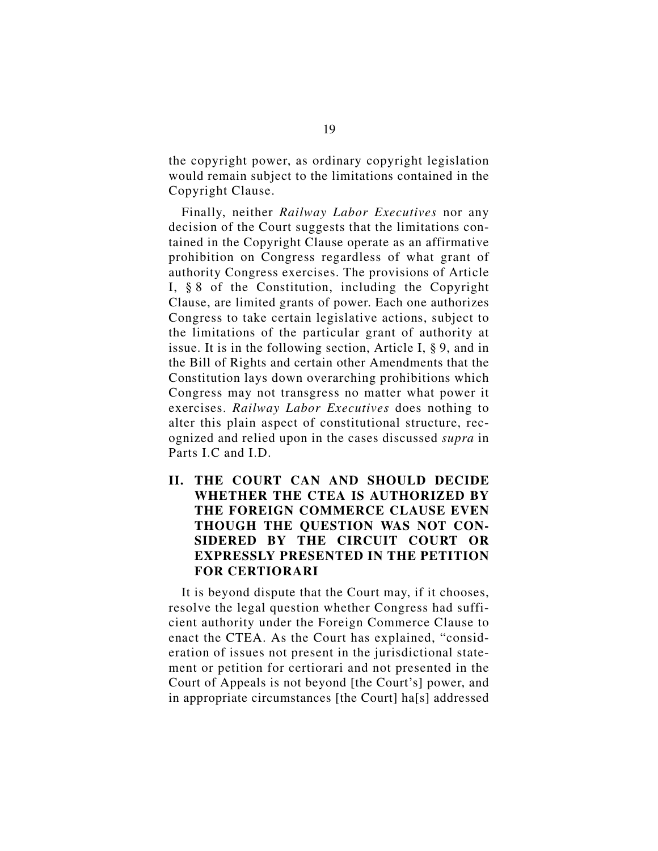the copyright power, as ordinary copyright legislation would remain subject to the limitations contained in the Copyright Clause.

Finally, neither *Railway Labor Executives* nor any decision of the Court suggests that the limitations contained in the Copyright Clause operate as an affirmative prohibition on Congress regardless of what grant of authority Congress exercises. The provisions of Article I, § 8 of the Constitution, including the Copyright Clause, are limited grants of power. Each one authorizes Congress to take certain legislative actions, subject to the limitations of the particular grant of authority at issue. It is in the following section, Article I, § 9, and in the Bill of Rights and certain other Amendments that the Constitution lays down overarching prohibitions which Congress may not transgress no matter what power it exercises. *Railway Labor Executives* does nothing to alter this plain aspect of constitutional structure, recognized and relied upon in the cases discussed *supra* in Parts I.C and I.D.

**II. THE COURT CAN AND SHOULD DECIDE WHETHER THE CTEA IS AUTHORIZED BY THE FOREIGN COMMERCE CLAUSE EVEN THOUGH THE QUESTION WAS NOT CON-SIDERED BY THE CIRCUIT COURT OR EXPRESSLY PRESENTED IN THE PETITION FOR CERTIORARI**

It is beyond dispute that the Court may, if it chooses, resolve the legal question whether Congress had sufficient authority under the Foreign Commerce Clause to enact the CTEA. As the Court has explained, "consideration of issues not present in the jurisdictional statement or petition for certiorari and not presented in the Court of Appeals is not beyond [the Court's] power, and in appropriate circumstances [the Court] ha[s] addressed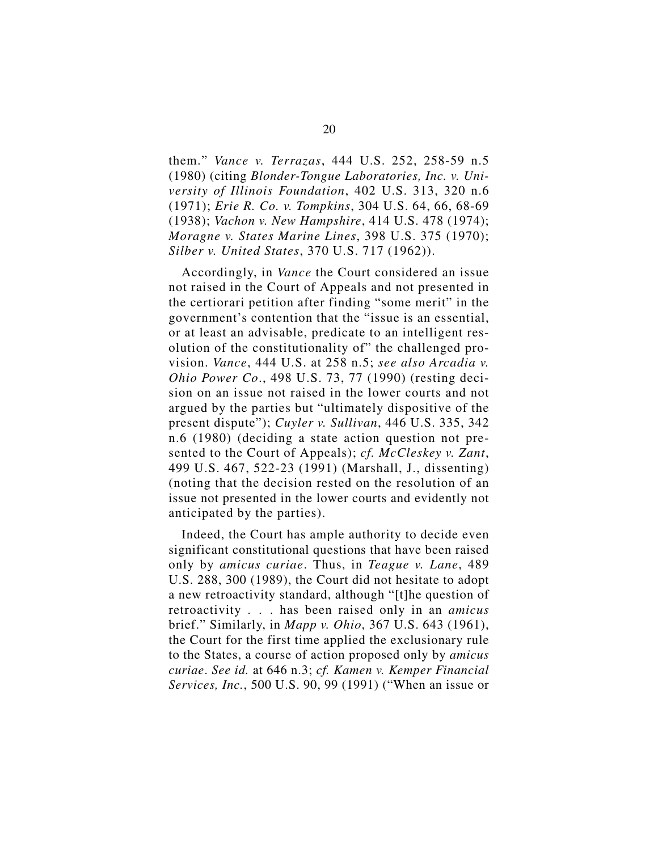them." *Vance v. Terrazas*, 444 U.S. 252, 258-59 n.5 (1980) (citing *Blonder-Tongue Laboratories, Inc. v. University of Illinois Foundation*, 402 U.S. 313, 320 n.6 (1971); *Erie R. Co. v. Tompkins*, 304 U.S. 64, 66, 68-69 (1938); *Vachon v. New Hampshire*, 414 U.S. 478 (1974); *Moragne v. States Marine Lines*, 398 U.S. 375 (1970); *Silber v. United States*, 370 U.S. 717 (1962)).

Accordingly, in *Vance* the Court considered an issue not raised in the Court of Appeals and not presented in the certiorari petition after finding "some merit" in the government's contention that the "issue is an essential, or at least an advisable, predicate to an intelligent resolution of the constitutionality of" the challenged provision. *Vance*, 444 U.S. at 258 n.5; *see also Arcadia v. Ohio Power Co*., 498 U.S. 73, 77 (1990) (resting decision on an issue not raised in the lower courts and not argued by the parties but "ultimately dispositive of the present dispute"); *Cuyler v. Sullivan*, 446 U.S. 335, 342 n.6 (1980) (deciding a state action question not presented to the Court of Appeals); *cf. McCleskey v. Zant*, 499 U.S. 467, 522-23 (1991) (Marshall, J., dissenting) (noting that the decision rested on the resolution of an issue not presented in the lower courts and evidently not anticipated by the parties).

Indeed, the Court has ample authority to decide even significant constitutional questions that have been raised only by *amicus curiae*. Thus, in *Teague v. Lane*, 489 U.S. 288, 300 (1989), the Court did not hesitate to adopt a new retroactivity standard, although "[t]he question of retroactivity . . . has been raised only in an *amicus* brief." Similarly, in *Mapp v. Ohio*, 367 U.S. 643 (1961), the Court for the first time applied the exclusionary rule to the States, a course of action proposed only by *amicus curiae*. *See id.* at 646 n.3; *cf. Kamen v. Kemper Financial Services, Inc.*, 500 U.S. 90, 99 (1991) ("When an issue or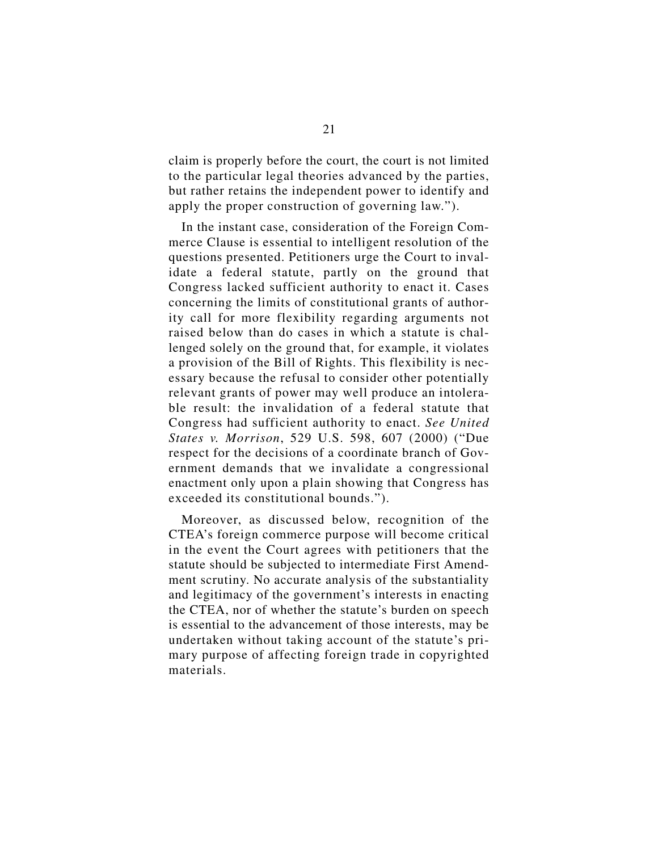claim is properly before the court, the court is not limited to the particular legal theories advanced by the parties, but rather retains the independent power to identify and apply the proper construction of governing law.").

In the instant case, consideration of the Foreign Commerce Clause is essential to intelligent resolution of the questions presented. Petitioners urge the Court to invalidate a federal statute, partly on the ground that Congress lacked sufficient authority to enact it. Cases concerning the limits of constitutional grants of authority call for more flexibility regarding arguments not raised below than do cases in which a statute is challenged solely on the ground that, for example, it violates a provision of the Bill of Rights. This flexibility is necessary because the refusal to consider other potentially relevant grants of power may well produce an intolerable result: the invalidation of a federal statute that Congress had sufficient authority to enact. *See United States v. Morrison*, 529 U.S. 598, 607 (2000) ("Due respect for the decisions of a coordinate branch of Government demands that we invalidate a congressional enactment only upon a plain showing that Congress has exceeded its constitutional bounds.").

Moreover, as discussed below, recognition of the CTEA's foreign commerce purpose will become critical in the event the Court agrees with petitioners that the statute should be subjected to intermediate First Amendment scrutiny. No accurate analysis of the substantiality and legitimacy of the government's interests in enacting the CTEA, nor of whether the statute's burden on speech is essential to the advancement of those interests, may be undertaken without taking account of the statute's primary purpose of affecting foreign trade in copyrighted materials.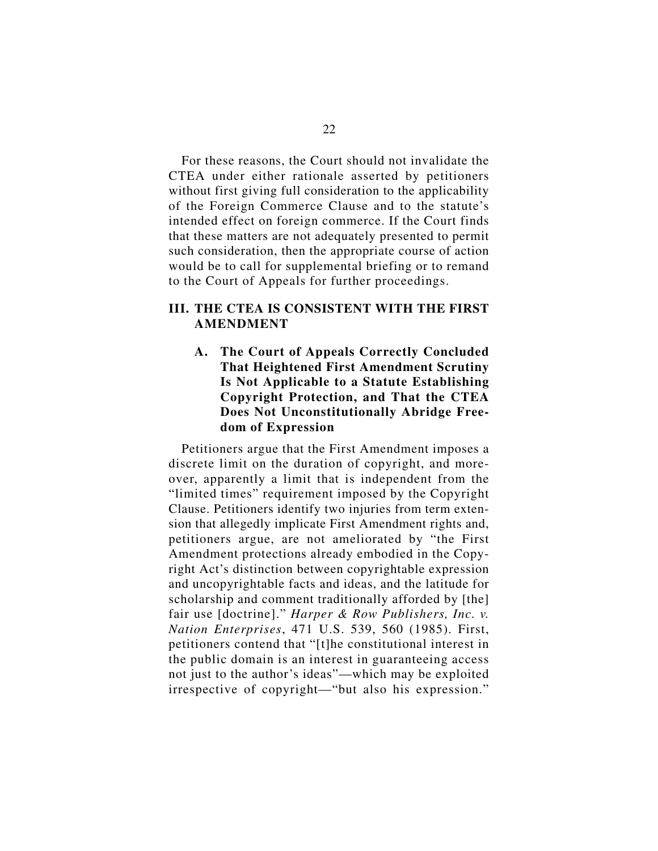For these reasons, the Court should not invalidate the CTEA under either rationale asserted by petitioners without first giving full consideration to the applicability of the Foreign Commerce Clause and to the statute's intended effect on foreign commerce. If the Court finds that these matters are not adequately presented to permit such consideration, then the appropriate course of action would be to call for supplemental briefing or to remand to the Court of Appeals for further proceedings.

## **III. THE CTEA IS CONSISTENT WITH THE FIRST AMENDMENT**

**A. The Court of Appeals Correctly Concluded That Heightened First Amendment Scrutiny Is Not Applicable to a Statute Establishing Copyright Protection, and That the CTEA Does Not Unconstitutionally Abridge Freedom of Expression**

Petitioners argue that the First Amendment imposes a discrete limit on the duration of copyright, and moreover, apparently a limit that is independent from the "limited times" requirement imposed by the Copyright Clause. Petitioners identify two injuries from term extension that allegedly implicate First Amendment rights and, petitioners argue, are not ameliorated by "the First Amendment protections already embodied in the Copyright Act's distinction between copyrightable expression and uncopyrightable facts and ideas, and the latitude for scholarship and comment traditionally afforded by [the] fair use [doctrine]." *Harper & Row Publishers, Inc. v. Nation Enterprises*, 471 U.S. 539, 560 (1985). First, petitioners contend that "[t]he constitutional interest in the public domain is an interest in guaranteeing access not just to the author's ideas"—which may be exploited irrespective of copyright—"but also his expression."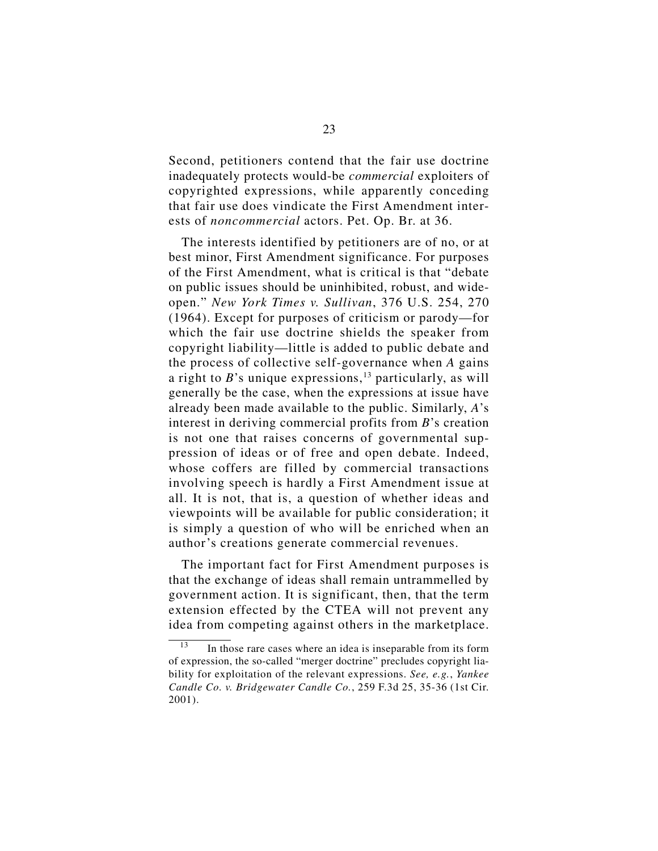Second, petitioners contend that the fair use doctrine inadequately protects would-be *commercial* exploiters of copyrighted expressions, while apparently conceding that fair use does vindicate the First Amendment interests of *noncommercial* actors. Pet. Op. Br. at 36.

The interests identified by petitioners are of no, or at best minor, First Amendment significance. For purposes of the First Amendment, what is critical is that "debate on public issues should be uninhibited, robust, and wideopen." *New York Times v. Sullivan*, 376 U.S. 254, 270 (1964). Except for purposes of criticism or parody—for which the fair use doctrine shields the speaker from copyright liability—little is added to public debate and the process of collective self-governance when *A* gains a right to  $B$ 's unique expressions,<sup>13</sup> particularly, as will generally be the case, when the expressions at issue have already been made available to the public. Similarly, *A*'s interest in deriving commercial profits from *B*'s creation is not one that raises concerns of governmental suppression of ideas or of free and open debate. Indeed, whose coffers are filled by commercial transactions involving speech is hardly a First Amendment issue at all. It is not, that is, a question of whether ideas and viewpoints will be available for public consideration; it is simply a question of who will be enriched when an author's creations generate commercial revenues.

The important fact for First Amendment purposes is that the exchange of ideas shall remain untrammelled by government action. It is significant, then, that the term extension effected by the CTEA will not prevent any idea from competing against others in the marketplace.

In those rare cases where an idea is inseparable from its form of expression, the so-called "merger doctrine" precludes copyright liability for exploitation of the relevant expressions. *See, e.g.*, *Yankee Candle Co. v. Bridgewater Candle Co.*, 259 F.3d 25, 35-36 (1st Cir. 2001).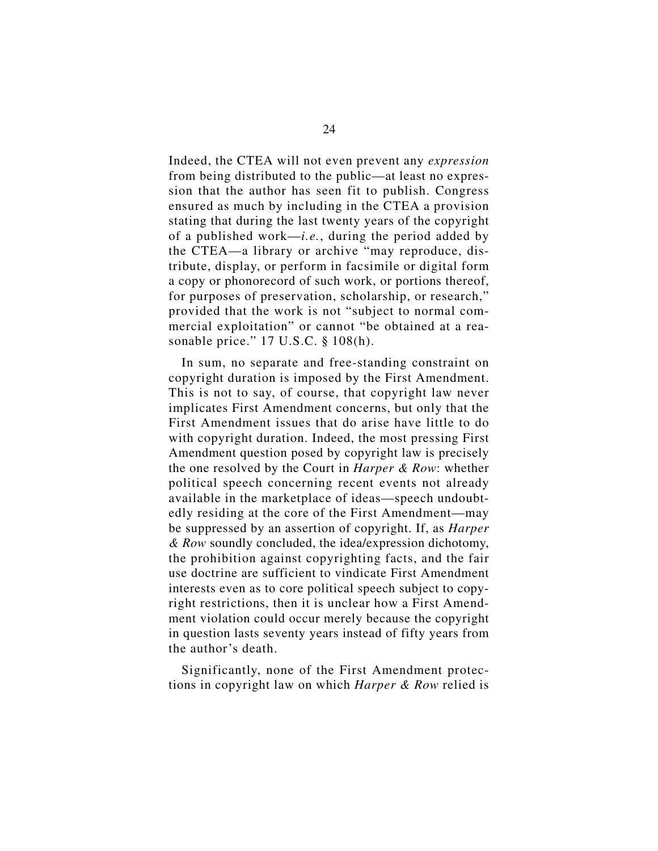Indeed, the CTEA will not even prevent any *expression* from being distributed to the public—at least no expression that the author has seen fit to publish. Congress ensured as much by including in the CTEA a provision stating that during the last twenty years of the copyright of a published work—*i.e.*, during the period added by the CTEA—a library or archive "may reproduce, distribute, display, or perform in facsimile or digital form a copy or phonorecord of such work, or portions thereof, for purposes of preservation, scholarship, or research," provided that the work is not "subject to normal commercial exploitation" or cannot "be obtained at a reasonable price." 17 U.S.C. § 108(h).

In sum, no separate and free-standing constraint on copyright duration is imposed by the First Amendment. This is not to say, of course, that copyright law never implicates First Amendment concerns, but only that the First Amendment issues that do arise have little to do with copyright duration. Indeed, the most pressing First Amendment question posed by copyright law is precisely the one resolved by the Court in *Harper & Row*: whether political speech concerning recent events not already available in the marketplace of ideas—speech undoubtedly residing at the core of the First Amendment—may be suppressed by an assertion of copyright. If, as *Harper & Row* soundly concluded, the idea/expression dichotomy, the prohibition against copyrighting facts, and the fair use doctrine are sufficient to vindicate First Amendment interests even as to core political speech subject to copyright restrictions, then it is unclear how a First Amendment violation could occur merely because the copyright in question lasts seventy years instead of fifty years from the author's death.

Significantly, none of the First Amendment protections in copyright law on which *Harper & Row* relied is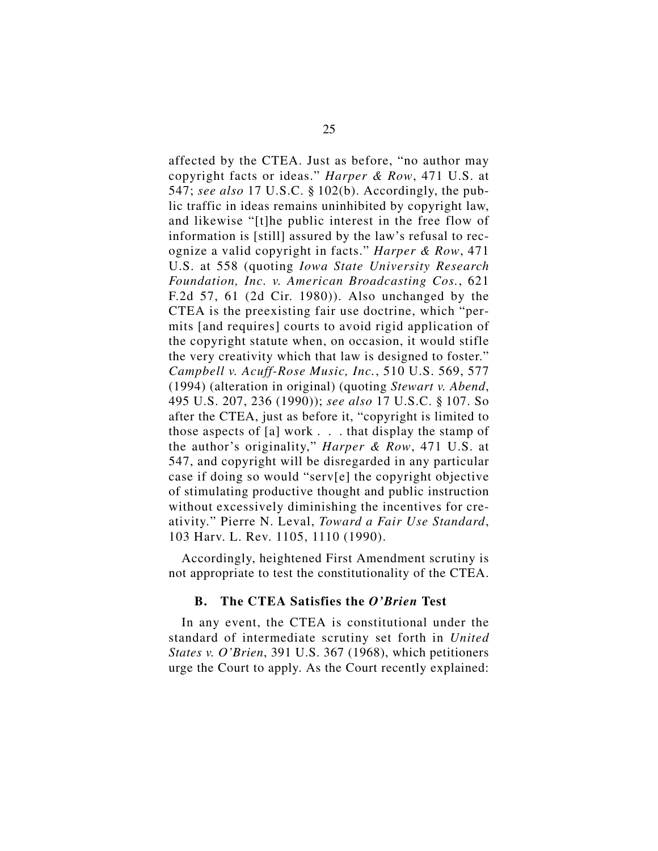affected by the CTEA. Just as before, "no author may copyright facts or ideas." *Harper & Row*, 471 U.S. at 547; *see also* 17 U.S.C. § 102(b). Accordingly, the public traffic in ideas remains uninhibited by copyright law, and likewise "[t]he public interest in the free flow of information is [still] assured by the law's refusal to recognize a valid copyright in facts." *Harper & Row*, 471 U.S. at 558 (quoting *Iowa State University Research Foundation, Inc. v. American Broadcasting Cos.*, 621 F.2d 57, 61 (2d Cir. 1980)). Also unchanged by the CTEA is the preexisting fair use doctrine, which "permits [and requires] courts to avoid rigid application of the copyright statute when, on occasion, it would stifle the very creativity which that law is designed to foster." *Campbell v. Acuff-Rose Music, Inc.*, 510 U.S. 569, 577 (1994) (alteration in original) (quoting *Stewart v. Abend*, 495 U.S. 207, 236 (1990)); *see also* 17 U.S.C. § 107. So after the CTEA, just as before it, "copyright is limited to those aspects of [a] work . . . that display the stamp of the author's originality," *Harper & Row*, 471 U.S. at 547, and copyright will be disregarded in any particular case if doing so would "serv[e] the copyright objective of stimulating productive thought and public instruction without excessively diminishing the incentives for creativity." Pierre N. Leval, *Toward a Fair Use Standard*, 103 Harv. L. Rev. 1105, 1110 (1990).

Accordingly, heightened First Amendment scrutiny is not appropriate to test the constitutionality of the CTEA.

#### **B. The CTEA Satisfies the** *O'Brien* **Test**

In any event, the CTEA is constitutional under the standard of intermediate scrutiny set forth in *United States v. O'Brien*, 391 U.S. 367 (1968), which petitioners urge the Court to apply. As the Court recently explained: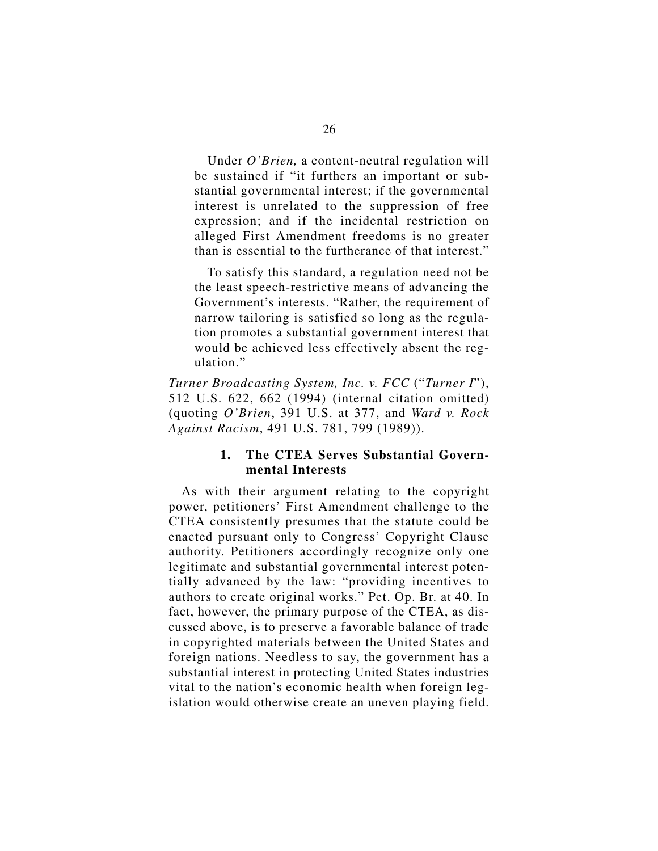Under *O'Brien,* a content-neutral regulation will be sustained if "it furthers an important or substantial governmental interest; if the governmental interest is unrelated to the suppression of free expression; and if the incidental restriction on alleged First Amendment freedoms is no greater than is essential to the furtherance of that interest."

To satisfy this standard, a regulation need not be the least speech-restrictive means of advancing the Government's interests. "Rather, the requirement of narrow tailoring is satisfied so long as the regulation promotes a substantial government interest that would be achieved less effectively absent the regulation."

*Turner Broadcasting System, Inc. v. FCC* ("*Turner I*"), 512 U.S. 622, 662 (1994) (internal citation omitted) (quoting *O'Brien*, 391 U.S. at 377, and *Ward v. Rock Against Racism*, 491 U.S. 781, 799 (1989)).

### **1. The CTEA Serves Substantial Governmental Interests**

As with their argument relating to the copyright power, petitioners' First Amendment challenge to the CTEA consistently presumes that the statute could be enacted pursuant only to Congress' Copyright Clause authority. Petitioners accordingly recognize only one legitimate and substantial governmental interest potentially advanced by the law: "providing incentives to authors to create original works." Pet. Op. Br. at 40. In fact, however, the primary purpose of the CTEA, as discussed above, is to preserve a favorable balance of trade in copyrighted materials between the United States and foreign nations. Needless to say, the government has a substantial interest in protecting United States industries vital to the nation's economic health when foreign legislation would otherwise create an uneven playing field.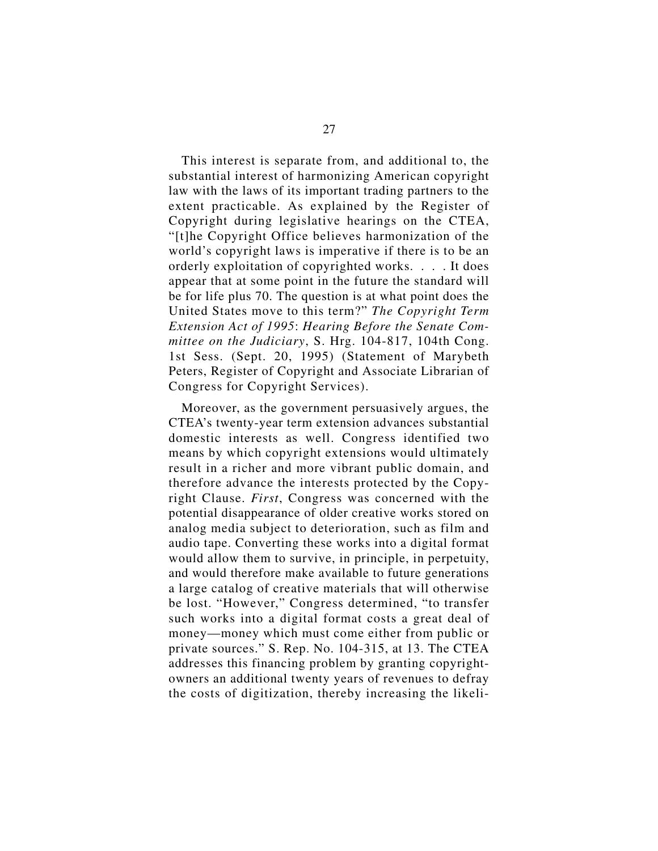This interest is separate from, and additional to, the substantial interest of harmonizing American copyright law with the laws of its important trading partners to the extent practicable. As explained by the Register of Copyright during legislative hearings on the CTEA, "[t]he Copyright Office believes harmonization of the world's copyright laws is imperative if there is to be an orderly exploitation of copyrighted works. . . . It does appear that at some point in the future the standard will be for life plus 70. The question is at what point does the United States move to this term?" *The Copyright Term Extension Act of 1995*: *Hearing Before the Senate Committee on the Judiciary*, S. Hrg. 104-817, 104th Cong. 1st Sess. (Sept. 20, 1995) (Statement of Marybeth Peters, Register of Copyright and Associate Librarian of Congress for Copyright Services).

Moreover, as the government persuasively argues, the CTEA's twenty-year term extension advances substantial domestic interests as well. Congress identified two means by which copyright extensions would ultimately result in a richer and more vibrant public domain, and therefore advance the interests protected by the Copyright Clause. *First*, Congress was concerned with the potential disappearance of older creative works stored on analog media subject to deterioration, such as film and audio tape. Converting these works into a digital format would allow them to survive, in principle, in perpetuity, and would therefore make available to future generations a large catalog of creative materials that will otherwise be lost. "However," Congress determined, "to transfer such works into a digital format costs a great deal of money—money which must come either from public or private sources." S. Rep. No. 104-315, at 13. The CTEA addresses this financing problem by granting copyrightowners an additional twenty years of revenues to defray the costs of digitization, thereby increasing the likeli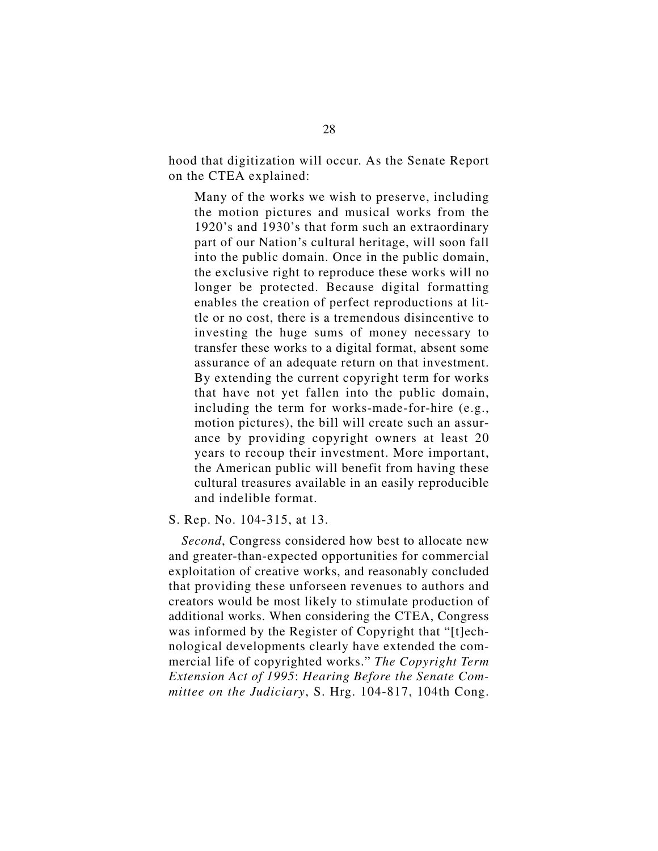hood that digitization will occur. As the Senate Report on the CTEA explained:

Many of the works we wish to preserve, including the motion pictures and musical works from the 1920's and 1930's that form such an extraordinary part of our Nation's cultural heritage, will soon fall into the public domain. Once in the public domain, the exclusive right to reproduce these works will no longer be protected. Because digital formatting enables the creation of perfect reproductions at little or no cost, there is a tremendous disincentive to investing the huge sums of money necessary to transfer these works to a digital format, absent some assurance of an adequate return on that investment. By extending the current copyright term for works that have not yet fallen into the public domain, including the term for works-made-for-hire (e.g., motion pictures), the bill will create such an assurance by providing copyright owners at least 20 years to recoup their investment. More important, the American public will benefit from having these cultural treasures available in an easily reproducible and indelible format.

#### S. Rep. No. 104-315, at 13.

*Second*, Congress considered how best to allocate new and greater-than-expected opportunities for commercial exploitation of creative works, and reasonably concluded that providing these unforseen revenues to authors and creators would be most likely to stimulate production of additional works. When considering the CTEA, Congress was informed by the Register of Copyright that "[t]echnological developments clearly have extended the commercial life of copyrighted works." *The Copyright Term Extension Act of 1995*: *Hearing Before the Senate Committee on the Judiciary*, S. Hrg. 104-817, 104th Cong.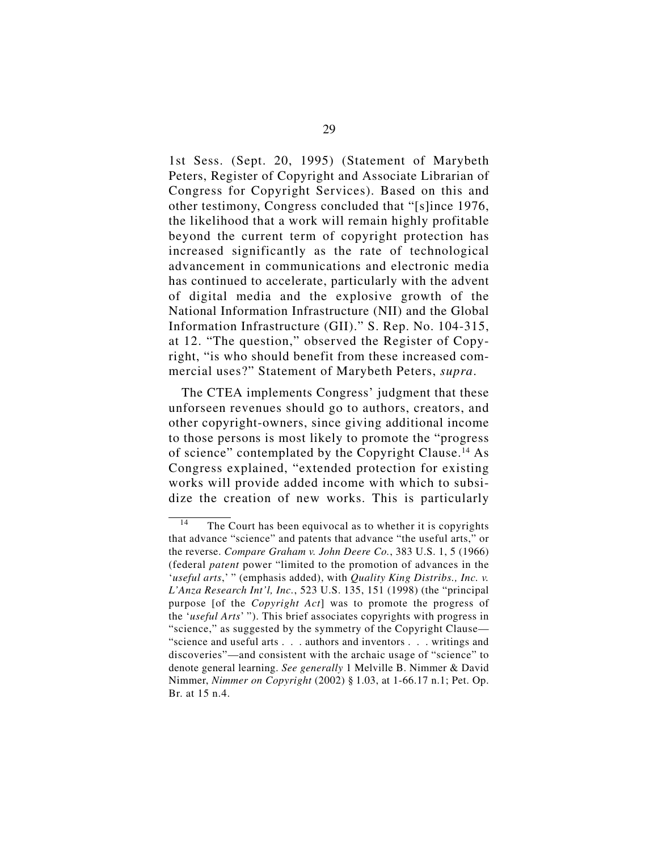1st Sess. (Sept. 20, 1995) (Statement of Marybeth Peters, Register of Copyright and Associate Librarian of Congress for Copyright Services). Based on this and other testimony, Congress concluded that "[s]ince 1976, the likelihood that a work will remain highly profitable beyond the current term of copyright protection has increased significantly as the rate of technological advancement in communications and electronic media has continued to accelerate, particularly with the advent of digital media and the explosive growth of the National Information Infrastructure (NII) and the Global Information Infrastructure (GII)." S. Rep. No. 104-315, at 12. "The question," observed the Register of Copyright, "is who should benefit from these increased commercial uses?" Statement of Marybeth Peters, *supra*.

The CTEA implements Congress' judgment that these unforseen revenues should go to authors, creators, and other copyright-owners, since giving additional income to those persons is most likely to promote the "progress of science" contemplated by the Copyright Clause.14 As Congress explained, "extended protection for existing works will provide added income with which to subsidize the creation of new works. This is particularly

<sup>&</sup>lt;sup>14</sup> The Court has been equivocal as to whether it is copyrights that advance "science" and patents that advance "the useful arts," or the reverse. *Compare Graham v. John Deere Co.*, 383 U.S. 1, 5 (1966) (federal *patent* power "limited to the promotion of advances in the '*useful arts*,' " (emphasis added), with *Quality King Distribs., Inc. v. L'Anza Research Int'l, Inc.*, 523 U.S. 135, 151 (1998) (the "principal purpose [of the *Copyright Act*] was to promote the progress of the '*useful Arts*' "). This brief associates copyrights with progress in "science," as suggested by the symmetry of the Copyright Clause— "science and useful arts . . . authors and inventors . . . writings and discoveries"—and consistent with the archaic usage of "science" to denote general learning. *See generally* 1 Melville B. Nimmer & David Nimmer, *Nimmer on Copyright* (2002) § 1.03, at 1-66.17 n.1; Pet. Op. Br. at 15 n.4.